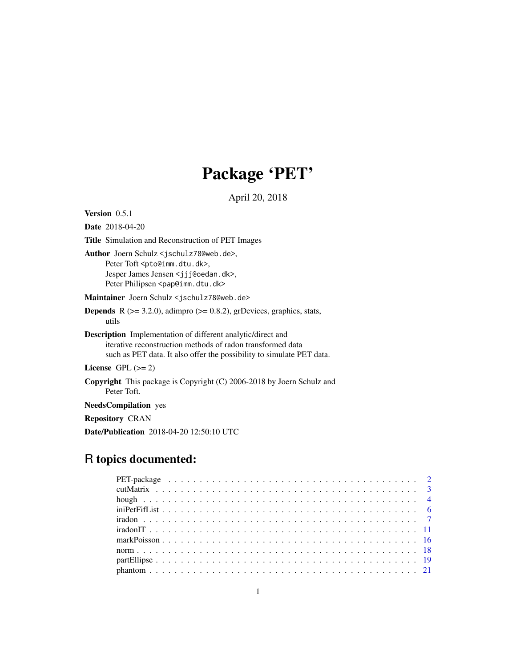# Package 'PET'

April 20, 2018

| Version 0.5.1                                                                                                                                                                                             |  |  |  |  |  |
|-----------------------------------------------------------------------------------------------------------------------------------------------------------------------------------------------------------|--|--|--|--|--|
| <b>Date</b> 2018-04-20                                                                                                                                                                                    |  |  |  |  |  |
| <b>Title</b> Simulation and Reconstruction of PET Images                                                                                                                                                  |  |  |  |  |  |
| Author Joern Schulz < jschulz78@web.de>,<br>Peter Toft <pto@imm.dtu.dk>,<br/>Jesper James Jensen <jjj@oedan.dk>,<br/>Peter Philipsen <pap@imm.dtu.dk></pap@imm.dtu.dk></jjj@oedan.dk></pto@imm.dtu.dk>    |  |  |  |  |  |
| Maintainer Joern Schulz < jschulz78@web.de>                                                                                                                                                               |  |  |  |  |  |
| <b>Depends</b> $R$ ( $> = 3.2.0$ ), adimpro ( $> = 0.8.2$ ), grDevices, graphics, stats,<br>utils                                                                                                         |  |  |  |  |  |
| <b>Description</b> Implementation of different analytic/direct and<br>iterative reconstruction methods of radon transformed data<br>such as PET data. It also offer the possibility to simulate PET data. |  |  |  |  |  |
| License $GPL (= 2)$                                                                                                                                                                                       |  |  |  |  |  |
| <b>Copyright</b> This package is Copyright (C) 2006-2018 by Joern Schulz and<br>Peter Toft.                                                                                                               |  |  |  |  |  |
| <b>NeedsCompilation</b> yes                                                                                                                                                                               |  |  |  |  |  |
| <b>Repository CRAN</b>                                                                                                                                                                                    |  |  |  |  |  |
| Date/Publication 2018-04-20 12:50:10 UTC                                                                                                                                                                  |  |  |  |  |  |

# R topics documented: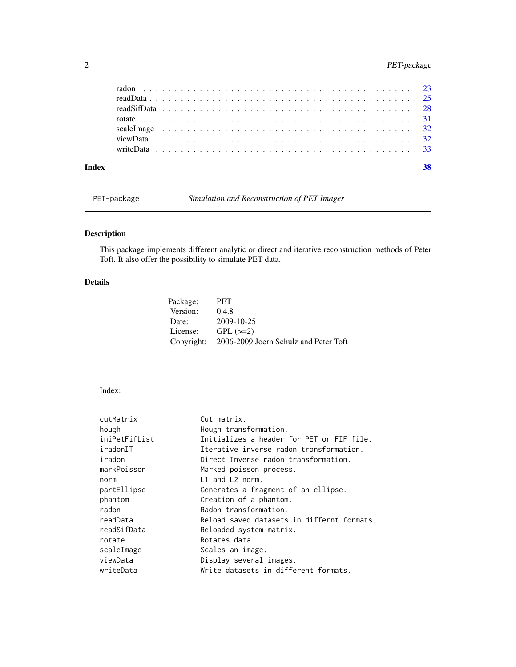# <span id="page-1-0"></span>2 PET-package

| 38 |
|----|
|    |
|    |
|    |
|    |
|    |
|    |
|    |
|    |

PET-package *Simulation and Reconstruction of PET Images*

# Description

This package implements different analytic or direct and iterative reconstruction methods of Peter Toft. It also offer the possibility to simulate PET data.

# Details

| Package:   | <b>PET</b>                            |
|------------|---------------------------------------|
| Version:   | 0.4.8                                 |
| Date:      | 2009-10-25                            |
| License:   | $GPL (=2)$                            |
| Copyright: | 2006-2009 Joern Schulz and Peter Toft |

# Index:

| cutMatrix     | Cut matrix.                                |
|---------------|--------------------------------------------|
|               |                                            |
| hough         | Hough transformation.                      |
| iniPetFifList | Initializes a header for PET or FIF file.  |
| iradonIT      | Iterative inverse radon transformation.    |
| iradon        | Direct Inverse radon transformation.       |
| markPoisson   | Marked poisson process.                    |
| norm          | $L1$ and $L2$ norm.                        |
| partEllipse   | Generates a fragment of an ellipse.        |
| phantom       | Creation of a phantom.                     |
| radon         | Radon transformation.                      |
| readData      | Reload saved datasets in differnt formats. |
| readSifData   | Reloaded system matrix.                    |
| rotate        | Rotates data.                              |
| scaleImage    | Scales an image.                           |
| viewData      | Display several images.                    |
| writeData     | Write datasets in different formats.       |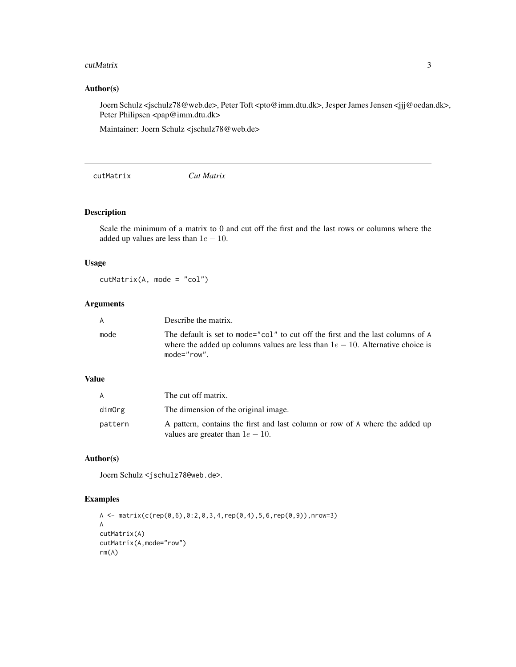#### <span id="page-2-0"></span>cutMatrix 3

# Author(s)

Joern Schulz <jschulz78@web.de>, Peter Toft <pto@imm.dtu.dk>, Jesper James Jensen <jjj@oedan.dk>, Peter Philipsen <pap@imm.dtu.dk>

Maintainer: Joern Schulz <jschulz78@web.de>

cutMatrix *Cut Matrix*

# Description

Scale the minimum of a matrix to 0 and cut off the first and the last rows or columns where the added up values are less than  $1e - 10$ .

# Usage

cutMatrix(A, mode = "col")

# Arguments

| A    | Describe the matrix.                                                                                                                                                                    |
|------|-----------------------------------------------------------------------------------------------------------------------------------------------------------------------------------------|
| mode | The default is set to mode="col" to cut off the first and the last columns of A<br>where the added up columns values are less than $1e - 10$ . Alternative choice is<br>$model="row"$ . |

# Value

| A       | The cut off matrix.                                                                                                 |
|---------|---------------------------------------------------------------------------------------------------------------------|
| dimOrg  | The dimension of the original image.                                                                                |
| pattern | A pattern, contains the first and last column or row of A where the added up<br>values are greater than $1e - 10$ . |

# Author(s)

Joern Schulz <jschulz78@web.de>.

# Examples

```
A \leq matrix(c(rep(0,6),0:2,0,3,4,rep(0,4),5,6,rep(0,9)),nrow=3)
A
cutMatrix(A)
cutMatrix(A,mode="row")
rm(A)
```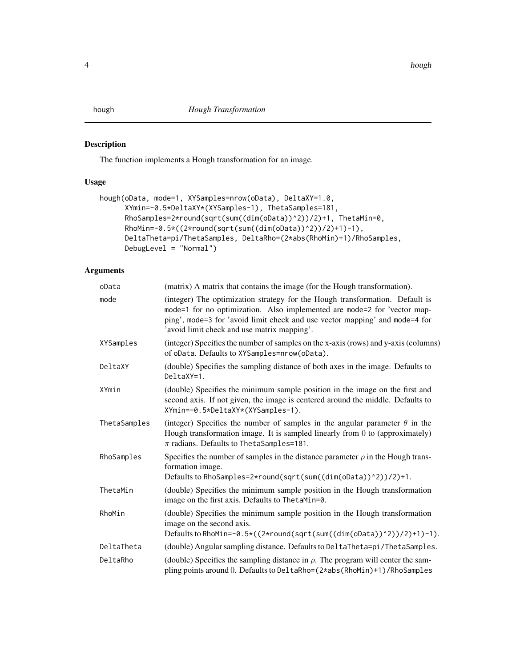<span id="page-3-0"></span>

# Description

The function implements a Hough transformation for an image.

# Usage

```
hough(oData, mode=1, XYSamples=nrow(oData), DeltaXY=1.0,
     XYmin=-0.5*DeltaXY*(XYSamples-1), ThetaSamples=181,
     RhoSamples=2*round(sqrt(sum((dim(oData))^2))/2)+1, ThetaMin=0,
     RhoMin=-0.5*((2*round(sqrt(sum((dim(oData))^2))/2)+1)-1),
     DeltaTheta=pi/ThetaSamples, DeltaRho=(2*abs(RhoMin)+1)/RhoSamples,
     DebugLevel = "Normal")
```
# Arguments

| oData        | (matrix) A matrix that contains the image (for the Hough transformation).                                                                                                                                                                                                              |
|--------------|----------------------------------------------------------------------------------------------------------------------------------------------------------------------------------------------------------------------------------------------------------------------------------------|
| mode         | (integer) The optimization strategy for the Hough transformation. Default is<br>mode=1 for no optimization. Also implemented are mode=2 for 'vector map-<br>ping', mode=3 for 'avoid limit check and use vector mapping' and mode=4 for<br>'avoid limit check and use matrix mapping'. |
| XYSamples    | (integer) Specifies the number of samples on the x-axis (rows) and y-axis (columns)<br>of oData. Defaults to XYSamples=nrow(oData).                                                                                                                                                    |
| DeltaXY      | (double) Specifies the sampling distance of both axes in the image. Defaults to<br>DeltaXY=1.                                                                                                                                                                                          |
| XYmin        | (double) Specifies the minimum sample position in the image on the first and<br>second axis. If not given, the image is centered around the middle. Defaults to<br>XYmin=-0.5*DeltaXY*(XYSamples-1).                                                                                   |
| ThetaSamples | (integer) Specifies the number of samples in the angular parameter $\theta$ in the<br>Hough transformation image. It is sampled linearly from 0 to (approximately)<br>$\pi$ radians. Defaults to ThetaSamples=181.                                                                     |
| RhoSamples   | Specifies the number of samples in the distance parameter $\rho$ in the Hough trans-<br>formation image.<br>Defaults to RhoSamples=2*round(sqrt(sum((dim(oData))^2))/2)+1.                                                                                                             |
| ThetaMin     | (double) Specifies the minimum sample position in the Hough transformation<br>image on the first axis. Defaults to ThetaMin=0.                                                                                                                                                         |
| RhoMin       | (double) Specifies the minimum sample position in the Hough transformation<br>image on the second axis.<br>Defaults to RhoMin=-0.5*((2*round(sqrt(sum((dim(oData))^2))/2)+1)-1).                                                                                                       |
| DeltaTheta   | (double) Angular sampling distance. Defaults to DeltaTheta=pi/ThetaSamples.                                                                                                                                                                                                            |
| DeltaRho     | (double) Specifies the sampling distance in $\rho$ . The program will center the sam-<br>pling points around 0. Defaults to DeltaRho=(2*abs(RhoMin)+1)/RhoSamples                                                                                                                      |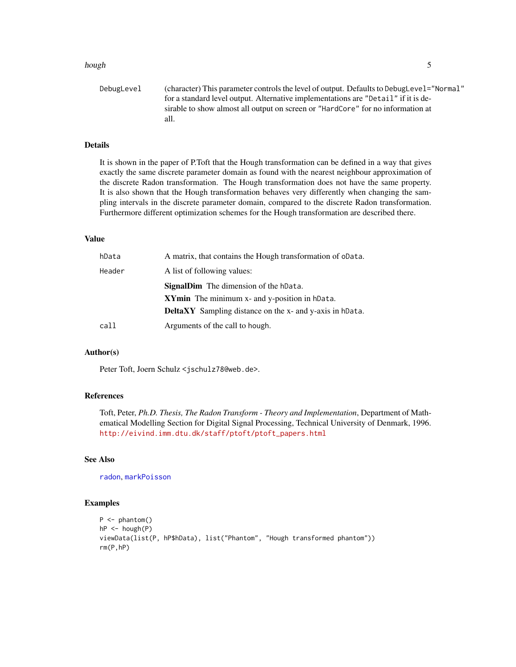#### <span id="page-4-0"></span>hough that is a state of the state of the state of the state of the state of the state of the state of the state of the state of the state of the state of the state of the state of the state of the state of the state of th

| DebugLevel | (character) This parameter controls the level of output. Defaults to DebugLevel="Normal" |
|------------|------------------------------------------------------------------------------------------|
|            | for a standard level output. Alternative implementations are "Detail" if it is de-       |
|            | sirable to show almost all output on screen or "HardCore" for no information at          |
|            | all.                                                                                     |

# Details

It is shown in the paper of P.Toft that the Hough transformation can be defined in a way that gives exactly the same discrete parameter domain as found with the nearest neighbour approximation of the discrete Radon transformation. The Hough transformation does not have the same property. It is also shown that the Hough transformation behaves very differently when changing the sampling intervals in the discrete parameter domain, compared to the discrete Radon transformation. Furthermore different optimization schemes for the Hough transformation are described there.

# Value

| hData  | A matrix, that contains the Hough transformation of oData.      |
|--------|-----------------------------------------------------------------|
| Header | A list of following values:                                     |
|        | <b>SignalDim</b> The dimension of the hData.                    |
|        | XYmin The minimum x- and y-position in hData.                   |
|        | <b>DeltaXY</b> Sampling distance on the x- and y-axis in hData. |
| call   | Arguments of the call to hough.                                 |

# Author(s)

Peter Toft, Joern Schulz <jschulz78@web.de>.

#### References

Toft, Peter, *Ph.D. Thesis, The Radon Transform - Theory and Implementation*, Department of Mathematical Modelling Section for Digital Signal Processing, Technical University of Denmark, 1996. [http://eivind.imm.dtu.dk/staff/ptoft/ptoft\\_papers.html](http://eivind.imm.dtu.dk/staff/ptoft/ptoft_papers.html)

# See Also

[radon](#page-22-1), [markPoisson](#page-15-1)

#### Examples

```
P \leftarrow \text{phantom}()hP \le -hough(P)viewData(list(P, hP$hData), list("Phantom", "Hough transformed phantom"))
rm(P,hP)
```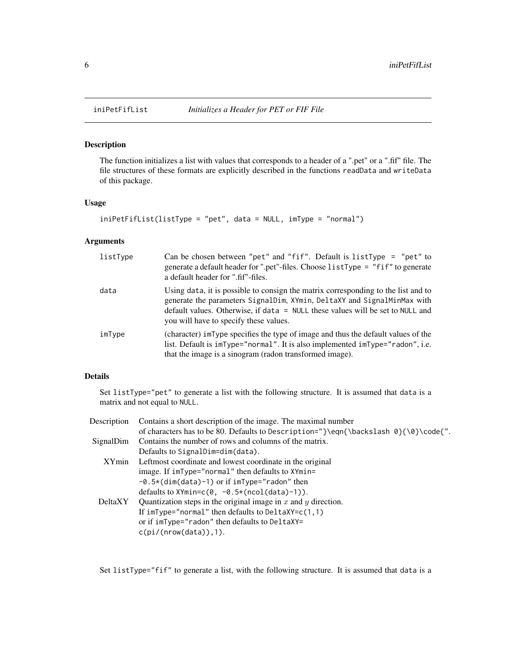<span id="page-5-0"></span>

# Description

The function initializes a list with values that corresponds to a header of a ".pet" or a ".fif" file. The file structures of these formats are explicitly described in the functions readData and writeData of this package.

#### Usage

```
iniPetFifList(listType = "pet", data = NULL, imType = "normal")
```
### Arguments

| listType | Can be chosen between "pet" and "fif". Default is list Type = "pet" to<br>generate a default header for ".pet"-files. Choose listType = "fif" to generate<br>a default header for ".fif"-files.                                                                                          |
|----------|------------------------------------------------------------------------------------------------------------------------------------------------------------------------------------------------------------------------------------------------------------------------------------------|
| data     | Using data, it is possible to consign the matrix corresponding to the list and to<br>generate the parameters SignalDim, XYmin, DeltaXY and SignalMinMax with<br>default values. Otherwise, if data = NULL these values will be set to NULL and<br>you will have to specify these values. |
| imType   | (character) imType specifies the type of image and thus the default values of the<br>list. Default is $imType="normal$ ". It is also implemented $imType="radon$ ", i.e.<br>that the image is a sinogram (radon transformed image).                                                      |

# Details

Set listType="pet" to generate a list with the following structure. It is assumed that data is a matrix and not equal to NULL.

| Description  | Contains a short description of the image. The maximal number                        |
|--------------|--------------------------------------------------------------------------------------|
|              | of characters has to be 80. Defaults to Description="}\eqn{\backslash 0}{\0}\code{". |
| SignalDim    | Contains the number of rows and columns of the matrix.                               |
|              | Defaults to SignalDim=dim(data).                                                     |
| <b>XYmin</b> | Leftmost coordinate and lowest coordinate in the original                            |
|              | image. If imType="normal" then defaults to XYmin=                                    |
|              | $-0.5*(dim(data)-1)$ or if imType="radon" then                                       |
|              | defaults to $XYmin=c(0, -0.5*(ncol(data)-1)).$                                       |
| DeltaXY      | Quantization steps in the original image in $x$ and $y$ direction.                   |
|              | If $imType="normal"$ then defaults to DeltaXY=c(1,1)                                 |
|              | or if imType="radon" then defaults to DeltaXY=                                       |
|              | c(pi/(nrow(data)), 1).                                                               |
|              |                                                                                      |

Set listType="fif" to generate a list, with the following structure. It is assumed that data is a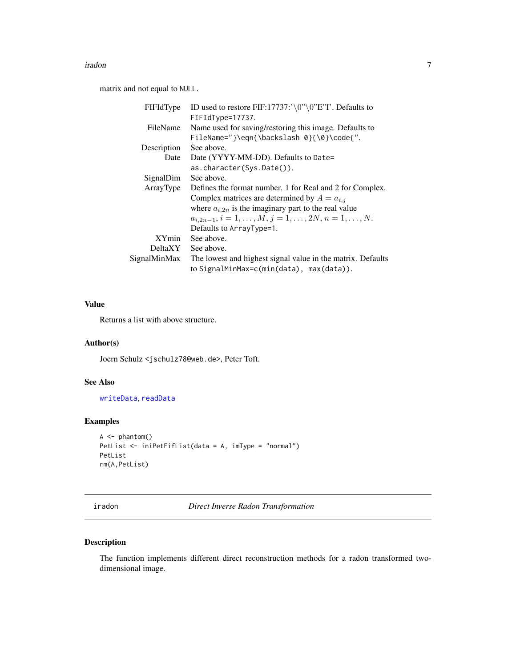#### <span id="page-6-0"></span>iradon 7

matrix and not equal to NULL.

| <b>FIFIdType</b> | ID used to restore FIF:17737:'\0"\0"E"I'. Defaults to                |
|------------------|----------------------------------------------------------------------|
|                  | FIFIdType=17737.                                                     |
| FileName         | Name used for saving/restoring this image. Defaults to               |
|                  | FileName="}\eqn{\backslash 0}{\0}\code{".                            |
| Description      | See above.                                                           |
| Date             | Date (YYYY-MM-DD). Defaults to Date=                                 |
|                  | as. character(Sys.Date()).                                           |
| SignalDim        | See above.                                                           |
| ArrayType        | Defines the format number. 1 for Real and 2 for Complex.             |
|                  | Complex matrices are determined by $A = a_{i,j}$                     |
|                  | where $a_{i,2n}$ is the imaginary part to the real value             |
|                  | $a_{i,2n-1}, i = 1, \ldots, M, j = 1, \ldots, 2N, n = 1, \ldots, N.$ |
|                  | Defaults to ArrayType=1.                                             |
| XYmin            | See above.                                                           |
| <b>DeltaXY</b>   | See above.                                                           |
| SignalMinMax     | The lowest and highest signal value in the matrix. Defaults          |
|                  | to SignalMinMax= $c(min(data)$ , max $(data)$ ).                     |

#### Value

Returns a list with above structure.

# Author(s)

Joern Schulz <jschulz78@web.de>, Peter Toft.

# See Also

[writeData](#page-32-1), [readData](#page-24-1)

# Examples

```
A \leftarrow \text{phantom}()PetList <- iniPetFifList(data = A, imType = "normal")
PetList
rm(A,PetList)
```
<span id="page-6-1"></span>iradon *Direct Inverse Radon Transformation*

# Description

The function implements different direct reconstruction methods for a radon transformed twodimensional image.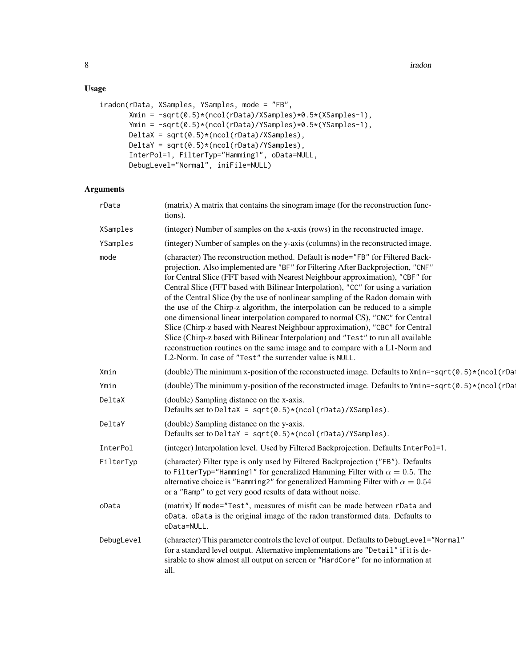# Usage

```
iradon(rData, XSamples, YSamples, mode = "FB",
      Xmin = -sqrt(0.5)*(ncol(rData)/XSamples)*0.5*(XSamples-1),
      Ymin = -sqrt(0.5)*(ncol(rData)/YSamples)*0.5*(YSamples-1),
      DeltaX = sqrt(0.5)*(ncol(rData)/XSamples),
      DeltaY = sqrt(0.5)*(ncol(rData)/YSamples),
      InterPol=1, FilterTyp="Hamming1", oData=NULL,
      DebugLevel="Normal", iniFile=NULL)
```
# Arguments

| rData      | (matrix) A matrix that contains the sinogram image (for the reconstruction func-<br>tions).                                                                                                                                                                                                                                                                                                                                                                                                                                                                                                                                                                                                                                                                                                                                                                                                                    |
|------------|----------------------------------------------------------------------------------------------------------------------------------------------------------------------------------------------------------------------------------------------------------------------------------------------------------------------------------------------------------------------------------------------------------------------------------------------------------------------------------------------------------------------------------------------------------------------------------------------------------------------------------------------------------------------------------------------------------------------------------------------------------------------------------------------------------------------------------------------------------------------------------------------------------------|
| XSamples   | (integer) Number of samples on the x-axis (rows) in the reconstructed image.                                                                                                                                                                                                                                                                                                                                                                                                                                                                                                                                                                                                                                                                                                                                                                                                                                   |
| YSamples   | (integer) Number of samples on the y-axis (columns) in the reconstructed image.                                                                                                                                                                                                                                                                                                                                                                                                                                                                                                                                                                                                                                                                                                                                                                                                                                |
| mode       | (character) The reconstruction method. Default is mode="FB" for Filtered Back-<br>projection. Also implemented are "BF" for Filtering After Backprojection, "CNF"<br>for Central Slice (FFT based with Nearest Neighbour approximation), "CBF" for<br>Central Slice (FFT based with Bilinear Interpolation), "CC" for using a variation<br>of the Central Slice (by the use of nonlinear sampling of the Radon domain with<br>the use of the Chirp-z algorithm, the interpolation can be reduced to a simple<br>one dimensional linear interpolation compared to normal CS), "CNC" for Central<br>Slice (Chirp-z based with Nearest Neighbour approximation), "CBC" for Central<br>Slice (Chirp-z based with Bilinear Interpolation) and "Test" to run all available<br>reconstruction routines on the same image and to compare with a L1-Norm and<br>L2-Norm. In case of "Test" the surrender value is NULL. |
| Xmin       | (double) The minimum x-position of the reconstructed image. Defaults to Xmin=-sqrt $(0.5)$ *(ncol(rDa)                                                                                                                                                                                                                                                                                                                                                                                                                                                                                                                                                                                                                                                                                                                                                                                                         |
| Ymin       | (double) The minimum y-position of the reconstructed image. Defaults to Ymin=-sqrt(0.5)*(ncol(rDa)                                                                                                                                                                                                                                                                                                                                                                                                                                                                                                                                                                                                                                                                                                                                                                                                             |
| DeltaX     | (double) Sampling distance on the x-axis.<br>Defaults set to DeltaX = $sqrt(0.5)*(ncol(rData)/XSamples)$ .                                                                                                                                                                                                                                                                                                                                                                                                                                                                                                                                                                                                                                                                                                                                                                                                     |
| DeltaY     | (double) Sampling distance on the y-axis.<br>Defaults set to DeltaY = $sqrt(0.5)*(ncol(rData)/YSamples)$ .                                                                                                                                                                                                                                                                                                                                                                                                                                                                                                                                                                                                                                                                                                                                                                                                     |
| InterPol   | (integer) Interpolation level. Used by Filtered Backprojection. Defaults InterPol=1.                                                                                                                                                                                                                                                                                                                                                                                                                                                                                                                                                                                                                                                                                                                                                                                                                           |
| FilterTyp  | (character) Filter type is only used by Filtered Backprojection ("FB"). Defaults<br>to FilterTyp="Hamming1" for generalized Hamming Filter with $\alpha = 0.5$ . The<br>alternative choice is "Hamming2" for generalized Hamming Filter with $\alpha = 0.54$<br>or a "Ramp" to get very good results of data without noise.                                                                                                                                                                                                                                                                                                                                                                                                                                                                                                                                                                                    |
| oData      | (matrix) If mode="Test", measures of misfit can be made between rData and<br>oData. oData is the original image of the radon transformed data. Defaults to<br>oData=NULL.                                                                                                                                                                                                                                                                                                                                                                                                                                                                                                                                                                                                                                                                                                                                      |
| DebugLevel | (character) This parameter controls the level of output. Defaults to DebugLevel="Normal"<br>for a standard level output. Alternative implementations are "Detail" if it is de-<br>sirable to show almost all output on screen or "HardCore" for no information at<br>all.                                                                                                                                                                                                                                                                                                                                                                                                                                                                                                                                                                                                                                      |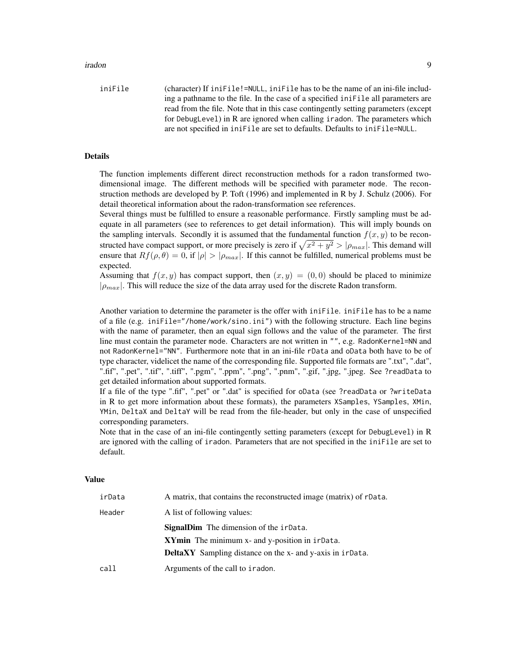#### iradon 9

iniFile (character) If iniFile!=NULL, iniFile has to be the name of an ini-file including a pathname to the file. In the case of a specified iniFile all parameters are read from the file. Note that in this case contingently setting parameters (except for DebugLevel) in R are ignored when calling iradon. The parameters which are not specified in iniFile are set to defaults. Defaults to iniFile=NULL.

### Details

The function implements different direct reconstruction methods for a radon transformed twodimensional image. The different methods will be specified with parameter mode. The reconstruction methods are developed by P. Toft (1996) and implemented in R by J. Schulz (2006). For detail theoretical information about the radon-transformation see references.

Several things must be fulfilled to ensure a reasonable performance. Firstly sampling must be adequate in all parameters (see to references to get detail information). This will imply bounds on the sampling intervals. Secondly it is assumed that the fundamental function  $f(x, y)$  to be reconstructed have compact support, or more precisely is zero if  $\sqrt{x^2 + y^2} > |\rho_{max}|$ . This demand will ensure that  $Rf(\rho, \theta) = 0$ , if  $|\rho| > |\rho_{max}|$ . If this cannot be fulfilled, numerical problems must be expected.

Assuming that  $f(x, y)$  has compact support, then  $(x, y) = (0, 0)$  should be placed to minimize  $|\rho_{max}|$ . This will reduce the size of the data array used for the discrete Radon transform.

Another variation to determine the parameter is the offer with iniFile. iniFile has to be a name of a file (e.g. iniFile="/home/work/sino.ini") with the following structure. Each line begins with the name of parameter, then an equal sign follows and the value of the parameter. The first line must contain the parameter mode. Characters are not written in "", e.g. RadonKernel=NN and not RadonKernel="NN". Furthermore note that in an ini-file rData and oData both have to be of type character, videlicet the name of the corresponding file. Supported file formats are ".txt", ".dat", ".fif", ".pet", ".tif", ".tiff", ".pgm", ".ppm", ".png", ".pnm", ".gif, ".jpg, ".jpeg. See ?readData to get detailed information about supported formats.

If a file of the type ".fif", ".pet" or ".dat" is specified for oData (see ?readData or ?writeData in R to get more information about these formats), the parameters XSamples, YSamples, XMin, YMin, DeltaX and DeltaY will be read from the file-header, but only in the case of unspecified corresponding parameters.

Note that in the case of an ini-file contingently setting parameters (except for DebugLevel) in R are ignored with the calling of iradon. Parameters that are not specified in the iniFile are set to default.

#### Value

| irData | A matrix, that contains the reconstructed image (matrix) of rData. |
|--------|--------------------------------------------------------------------|
| Header | A list of following values:                                        |
|        | <b>SignalDim</b> The dimension of the irData.                      |
|        | XYmin The minimum x- and y-position in irData.                     |
|        | <b>DeltaXY</b> Sampling distance on the x- and y-axis in irData.   |
| call   | Arguments of the call to iradon.                                   |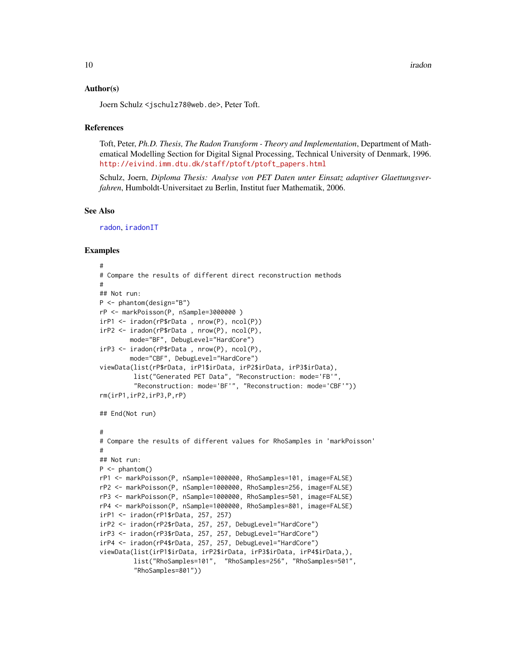#### <span id="page-9-0"></span>Author(s)

Joern Schulz <jschulz78@web.de>, Peter Toft.

#### References

Toft, Peter, *Ph.D. Thesis, The Radon Transform - Theory and Implementation*, Department of Mathematical Modelling Section for Digital Signal Processing, Technical University of Denmark, 1996. [http://eivind.imm.dtu.dk/staff/ptoft/ptoft\\_papers.html](http://eivind.imm.dtu.dk/staff/ptoft/ptoft_papers.html)

Schulz, Joern, *Diploma Thesis: Analyse von PET Daten unter Einsatz adaptiver Glaettungsverfahren*, Humboldt-Universitaet zu Berlin, Institut fuer Mathematik, 2006.

#### See Also

[radon](#page-22-1), [iradonIT](#page-10-1)

#### Examples

```
#
# Compare the results of different direct reconstruction methods
#
## Not run:
P <- phantom(design="B")
rP <- markPoisson(P, nSample=3000000 )
irP1 <- iradon(rP$rData , nrow(P), ncol(P))
irP2 <- iradon(rP$rData , nrow(P), ncol(P),
        mode="BF", DebugLevel="HardCore")
irP3 <- iradon(rP$rData , nrow(P), ncol(P),
        mode="CBF", DebugLevel="HardCore")
viewData(list(rP$rData, irP1$irData, irP2$irData, irP3$irData),
         list("Generated PET Data", "Reconstruction: mode='FB'",
         "Reconstruction: mode='BF'", "Reconstruction: mode='CBF'"))
rm(irP1,irP2,irP3,P,rP)
## End(Not run)
#
# Compare the results of different values for RhoSamples in 'markPoisson'
#
## Not run:
P \leftarrow \text{phantom}()rP1 <- markPoisson(P, nSample=1000000, RhoSamples=101, image=FALSE)
rP2 <- markPoisson(P, nSample=1000000, RhoSamples=256, image=FALSE)
rP3 <- markPoisson(P, nSample=1000000, RhoSamples=501, image=FALSE)
rP4 <- markPoisson(P, nSample=1000000, RhoSamples=801, image=FALSE)
irP1 <- iradon(rP1$rData, 257, 257)
irP2 <- iradon(rP2$rData, 257, 257, DebugLevel="HardCore")
irP3 <- iradon(rP3$rData, 257, 257, DebugLevel="HardCore")
irP4 <- iradon(rP4$rData, 257, 257, DebugLevel="HardCore")
viewData(list(irP1$irData, irP2$irData, irP3$irData, irP4$irData,),
         list("RhoSamples=101", "RhoSamples=256", "RhoSamples=501",
         "RhoSamples=801"))
```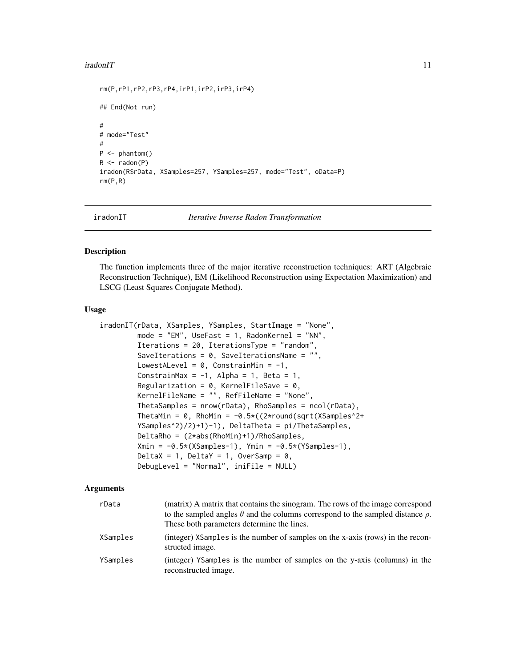#### <span id="page-10-0"></span>iradonIT and the contract of the contract of the contract of the contract of the contract of the contract of the contract of the contract of the contract of the contract of the contract of the contract of the contract of t

```
rm(P,rP1,rP2,rP3,rP4,irP1,irP2,irP3,irP4)
## End(Not run)
#
# mode="Test"
#
P \leftarrow \text{phantom}()R \leq - \text{radon}(P)iradon(R$rData, XSamples=257, YSamples=257, mode="Test", oData=P)
rm(P,R)
```
<span id="page-10-1"></span>

iradonIT *Iterative Inverse Radon Transformation*

#### Description

The function implements three of the major iterative reconstruction techniques: ART (Algebraic Reconstruction Technique), EM (Likelihood Reconstruction using Expectation Maximization) and LSCG (Least Squares Conjugate Method).

#### Usage

```
iradonIT(rData, XSamples, YSamples, StartImage = "None",
         mode = "EM", UseFast = 1, RadonKernel = "NN",
         Iterations = 20, IterationsType = "random",
         SaveIterations = 0, SaveIterationsName = "",
         LowestALevel = 0, ConstrainMin = -1,
         ConstrainMax = -1, Alpha = 1, Beta = 1,
         Regularization = 0, KernelFileSave = 0,
         KernelFileName = "", RefFileName = "None",
         ThetaSamples = nrow(rData), RhoSamples = ncol(rData),
         ThetaMin = 0, RhoMin = -0.5*(2*round(sqrt(XSamples^2+))YSamples^2)/2)+1)-1), DeltaTheta = pi/ThetaSamples,
         DeltaRho = (2*abs(RhoMin)+1)/RhoSamples,
         Xmin = -0.5*(XSamples-1), Ymin = -0.5*(YSamples-1),DeltaX = 1, DeltaY = 1, OverSamp = 0,
         DebugLevel = "Normal", iniFile = NULL)
```
# **Arguments**

| rData    | (matrix) A matrix that contains the sinogram. The rows of the image correspond<br>to the sampled angles $\theta$ and the columns correspond to the sampled distance $\rho$ .<br>These both parameters determine the lines. |
|----------|----------------------------------------------------------------------------------------------------------------------------------------------------------------------------------------------------------------------------|
| XSamples | (integer) XSamples is the number of samples on the x-axis (rows) in the recon-<br>structed image.                                                                                                                          |
| YSamples | (integer) YSamples is the number of samples on the y-axis (columns) in the<br>reconstructed image.                                                                                                                         |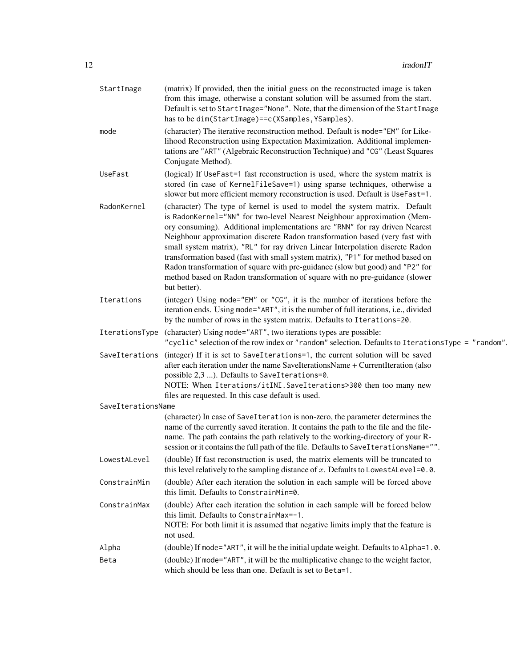| StartImage         | (matrix) If provided, then the initial guess on the reconstructed image is taken<br>from this image, otherwise a constant solution will be assumed from the start.<br>Default is set to StartImage="None". Note, that the dimension of the StartImage<br>has to be dim(StartImage)==c(XSamples, YSamples).                                                                                                                                                                                                                                                                                                                                                             |  |
|--------------------|------------------------------------------------------------------------------------------------------------------------------------------------------------------------------------------------------------------------------------------------------------------------------------------------------------------------------------------------------------------------------------------------------------------------------------------------------------------------------------------------------------------------------------------------------------------------------------------------------------------------------------------------------------------------|--|
| mode               | (character) The iterative reconstruction method. Default is mode="EM" for Like-<br>lihood Reconstruction using Expectation Maximization. Additional implemen-<br>tations are "ART" (Algebraic Reconstruction Technique) and "CG" (Least Squares<br>Conjugate Method).                                                                                                                                                                                                                                                                                                                                                                                                  |  |
| UseFast            | (logical) If UseFast=1 fast reconstruction is used, where the system matrix is<br>stored (in case of KernelFileSave=1) using sparse techniques, otherwise a<br>slower but more efficient memory reconstruction is used. Default is UseFast=1.                                                                                                                                                                                                                                                                                                                                                                                                                          |  |
| RadonKernel        | (character) The type of kernel is used to model the system matrix. Default<br>is RadonKernel="NN" for two-level Nearest Neighbour approximation (Mem-<br>ory consuming). Additional implementations are "RNN" for ray driven Nearest<br>Neighbour approximation discrete Radon transformation based (very fast with<br>small system matrix), "RL" for ray driven Linear Interpolation discrete Radon<br>transformation based (fast with small system matrix), "P1" for method based on<br>Radon transformation of square with pre-guidance (slow but good) and "P2" for<br>method based on Radon transformation of square with no pre-guidance (slower<br>but better). |  |
| Iterations         | (integer) Using mode="EM" or "CG", it is the number of iterations before the<br>iteration ends. Using mode="ART", it is the number of full iterations, i.e., divided<br>by the number of rows in the system matrix. Defaults to Iterations=20.                                                                                                                                                                                                                                                                                                                                                                                                                         |  |
| IterationsType     | (character) Using mode="ART", two iterations types are possible:<br>"cyclic" selection of the row index or "random" selection. Defaults to IterationsType = "random".                                                                                                                                                                                                                                                                                                                                                                                                                                                                                                  |  |
| SaveIterations     | (integer) If it is set to SaveIterations=1, the current solution will be saved<br>after each iteration under the name SaveIterationsName + CurrentIteration (also<br>possible 2,3 ). Defaults to SaveIterations=0.<br>NOTE: When Iterations/itINI. SaveIterations>300 then too many new<br>files are requested. In this case default is used.                                                                                                                                                                                                                                                                                                                          |  |
| SaveIterationsName |                                                                                                                                                                                                                                                                                                                                                                                                                                                                                                                                                                                                                                                                        |  |
|                    | (character) In case of SaveIteration is non-zero, the parameter determines the<br>name of the currently saved iteration. It contains the path to the file and the file-<br>name. The path contains the path relatively to the working-directory of your R-<br>session or it contains the full path of the file. Defaults to SaveIterationsName="".                                                                                                                                                                                                                                                                                                                     |  |
| LowestALevel       | (double) If fast reconstruction is used, the matrix elements will be truncated to<br>this level relatively to the sampling distance of $x$ . Defaults to LowestALevel=0.0.                                                                                                                                                                                                                                                                                                                                                                                                                                                                                             |  |
| ConstrainMin       | (double) After each iteration the solution in each sample will be forced above<br>this limit. Defaults to ConstrainMin=0.                                                                                                                                                                                                                                                                                                                                                                                                                                                                                                                                              |  |
| ConstrainMax       | (double) After each iteration the solution in each sample will be forced below<br>this limit. Defaults to ConstrainMax=-1.<br>NOTE: For both limit it is assumed that negative limits imply that the feature is<br>not used.                                                                                                                                                                                                                                                                                                                                                                                                                                           |  |
| Alpha              | (double) If mode="ART", it will be the initial update weight. Defaults to Alpha=1.0.                                                                                                                                                                                                                                                                                                                                                                                                                                                                                                                                                                                   |  |
| Beta               | (double) If mode="ART", it will be the multiplicative change to the weight factor,<br>which should be less than one. Default is set to Beta=1.                                                                                                                                                                                                                                                                                                                                                                                                                                                                                                                         |  |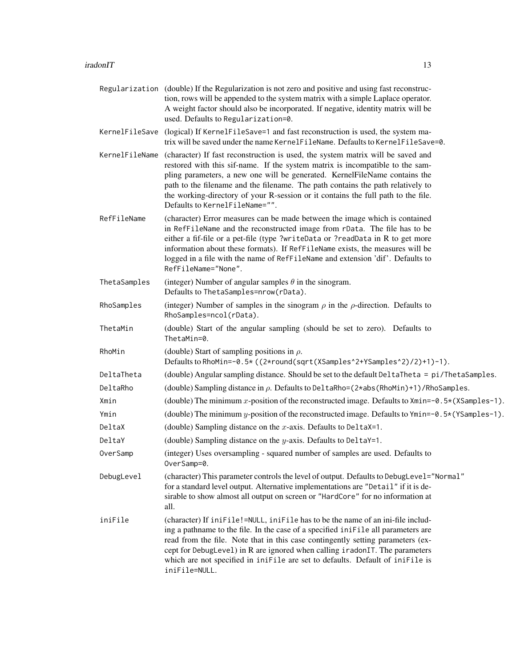#### iradonIT and the contract of the contract of the contract of the contract of the contract of the contract of the contract of the contract of the contract of the contract of the contract of the contract of the contract of t

|                | Regularization (double) If the Regularization is not zero and positive and using fast reconstruc-<br>tion, rows will be appended to the system matrix with a simple Laplace operator.<br>A weight factor should also be incorporated. If negative, identity matrix will be<br>used. Defaults to Regularization=0.                                                                                                                                        |
|----------------|----------------------------------------------------------------------------------------------------------------------------------------------------------------------------------------------------------------------------------------------------------------------------------------------------------------------------------------------------------------------------------------------------------------------------------------------------------|
| KernelFileSave | (logical) If Kernel FileSave=1 and fast reconstruction is used, the system ma-<br>trix will be saved under the name KernelFileName. Defaults to KernelFileSave=0.                                                                                                                                                                                                                                                                                        |
| KernelFileName | (character) If fast reconstruction is used, the system matrix will be saved and<br>restored with this sif-name. If the system matrix is incompatible to the sam-<br>pling parameters, a new one will be generated. KernelFileName contains the<br>path to the filename and the filename. The path contains the path relatively to<br>the working-directory of your R-session or it contains the full path to the file.<br>Defaults to KernelFileName="". |
| RefFileName    | (character) Error measures can be made between the image which is contained<br>in RefFileName and the reconstructed image from rData. The file has to be<br>either a fif-file or a pet-file (type ?writeData or ?readData in R to get more<br>information about these formats). If RefFileName exists, the measures will be<br>logged in a file with the name of RefFileName and extension 'dif'. Defaults to<br>RefFileName="None".                     |
| ThetaSamples   | (integer) Number of angular samples $\theta$ in the sinogram.<br>Defaults to ThetaSamples=nrow(rData).                                                                                                                                                                                                                                                                                                                                                   |
| RhoSamples     | (integer) Number of samples in the sinogram $\rho$ in the $\rho$ -direction. Defaults to<br>RhoSamples=ncol(rData).                                                                                                                                                                                                                                                                                                                                      |
| ThetaMin       | (double) Start of the angular sampling (should be set to zero). Defaults to<br>ThetaMin=0.                                                                                                                                                                                                                                                                                                                                                               |
| RhoMin         | (double) Start of sampling positions in $\rho$ .<br>Defaults to RhoMin=-0.5* ((2*round(sqrt(XSamples^2+YSamples^2)/2)+1)-1).                                                                                                                                                                                                                                                                                                                             |
| DeltaTheta     | (double) Angular sampling distance. Should be set to the default DeltaTheta = pi/ThetaSamples.                                                                                                                                                                                                                                                                                                                                                           |
| DeltaRho       | (double) Sampling distance in $\rho$ . Defaults to DeltaRho=(2*abs(RhoMin)+1)/RhoSamples.                                                                                                                                                                                                                                                                                                                                                                |
| Xmin           | (double) The minimum x-position of the reconstructed image. Defaults to $Xmin = 0.5*(XSamples-1)$ .                                                                                                                                                                                                                                                                                                                                                      |
| Ymin           | (double) The minimum y-position of the reconstructed image. Defaults to Ymin=-0.5*(YSamples-1).                                                                                                                                                                                                                                                                                                                                                          |
| DeltaX         | (double) Sampling distance on the $x$ -axis. Defaults to Delta $X=1$ .                                                                                                                                                                                                                                                                                                                                                                                   |
| DeltaY         | (double) Sampling distance on the $y$ -axis. Defaults to DeltaY=1.                                                                                                                                                                                                                                                                                                                                                                                       |
| OverSamp       | (integer) Uses oversampling - squared number of samples are used. Defaults to<br>OverSamp=0.                                                                                                                                                                                                                                                                                                                                                             |
| DebugLevel     | (character) This parameter controls the level of output. Defaults to DebugLevel="Normal"<br>for a standard level output. Alternative implementations are "Detail" if it is de-<br>sirable to show almost all output on screen or "HardCore" for no information at<br>all.                                                                                                                                                                                |
| iniFile        | (character) If iniFile!=NULL, iniFile has to be the name of an ini-file includ-<br>ing a pathname to the file. In the case of a specified inifile all parameters are<br>read from the file. Note that in this case contingently setting parameters (ex-<br>cept for DebugLevel) in R are ignored when calling iradonIT. The parameters<br>which are not specified in iniFile are set to defaults. Default of iniFile is<br>iniFile=NULL.                 |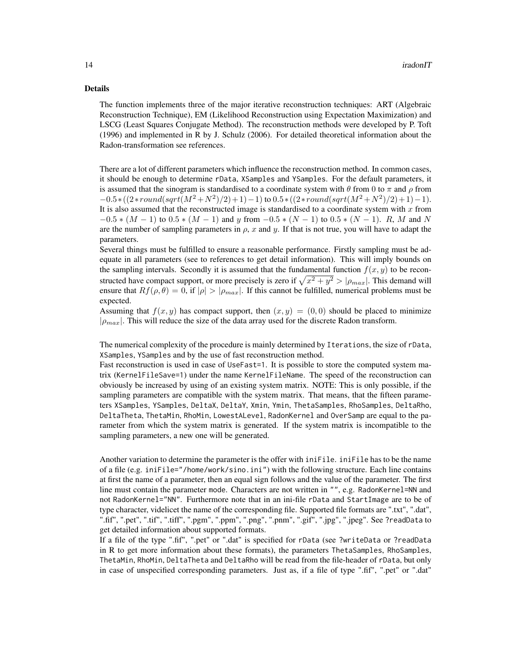#### Details

The function implements three of the major iterative reconstruction techniques: ART (Algebraic Reconstruction Technique), EM (Likelihood Reconstruction using Expectation Maximization) and LSCG (Least Squares Conjugate Method). The reconstruction methods were developed by P. Toft (1996) and implemented in R by J. Schulz (2006). For detailed theoretical information about the Radon-transformation see references.

There are a lot of different parameters which influence the reconstruction method. In common cases, it should be enough to determine rData, XSamples and YSamples. For the default parameters, it is assumed that the sinogram is standardised to a coordinate system with  $\theta$  from 0 to  $\pi$  and  $\rho$  from  $-0.5*((2*round(sqrt(M^2+N^2)/2)+1)-1)$  to  $0.5*((2*round(sqrt(M^2+N^2)/2)+1)-1).$ It is also assumed that the reconstructed image is standardised to a coordinate system with  $x$  from  $-0.5 * (M - 1)$  to  $0.5 * (M - 1)$  and y from  $-0.5 * (N - 1)$  to  $0.5 * (N - 1)$ . R, M and N are the number of sampling parameters in  $\rho$ , x and y. If that is not true, you will have to adapt the parameters.

Several things must be fulfilled to ensure a reasonable performance. Firstly sampling must be adequate in all parameters (see to references to get detail information). This will imply bounds on the sampling intervals. Secondly it is assumed that the fundamental function  $f(x, y)$  to be reconstructed have compact support, or more precisely is zero if  $\sqrt{x^2 + y^2} > |\rho_{max}|$ . This demand will ensure that  $Rf(\rho, \theta) = 0$ , if  $|\rho| > |\rho_{max}|$ . If this cannot be fulfilled, numerical problems must be expected.

Assuming that  $f(x, y)$  has compact support, then  $(x, y) = (0, 0)$  should be placed to minimize  $|\rho_{max}|$ . This will reduce the size of the data array used for the discrete Radon transform.

The numerical complexity of the procedure is mainly determined by Iterations, the size of rData, XSamples, YSamples and by the use of fast reconstruction method.

Fast reconstruction is used in case of UseFast=1. It is possible to store the computed system matrix (KernelFileSave=1) under the name KernelFileName. The speed of the reconstruction can obviously be increased by using of an existing system matrix. NOTE: This is only possible, if the sampling parameters are compatible with the system matrix. That means, that the fifteen parameters XSamples, YSamples, DeltaX, DeltaY, Xmin, Ymin, ThetaSamples, RhoSamples, DeltaRho, DeltaTheta, ThetaMin, RhoMin, LowestALevel, RadonKernel and OverSamp are equal to the parameter from which the system matrix is generated. If the system matrix is incompatible to the sampling parameters, a new one will be generated.

Another variation to determine the parameter is the offer with iniFile. iniFile has to be the name of a file (e.g. iniFile="/home/work/sino.ini") with the following structure. Each line contains at first the name of a parameter, then an equal sign follows and the value of the parameter. The first line must contain the parameter mode. Characters are not written in "", e.g. RadonKernel=NN and not RadonKernel="NN". Furthermore note that in an ini-file rData and StartImage are to be of type character, videlicet the name of the corresponding file. Supported file formats are ".txt", ".dat", ".fif", ".pet", ".tif", ".tiff", ".pgm", ".ppm", ".png", ".pnm", ".gif", ".jpg", ".jpeg". See ?readData to get detailed information about supported formats.

If a file of the type ".fif", ".pet" or ".dat" is specified for rData (see ?writeData or ?readData in R to get more information about these formats), the parameters ThetaSamples, RhoSamples, ThetaMin, RhoMin, DeltaTheta and DeltaRho will be read from the file-header of rData, but only in case of unspecified corresponding parameters. Just as, if a file of type ".fif", ".pet" or ".dat"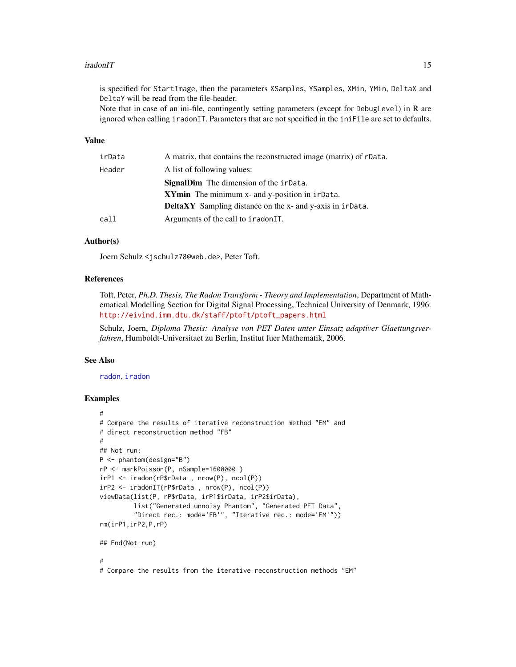#### <span id="page-14-0"></span>iradonIT and the state of the state of the state of the state of the state of the state of the state of the state of the state of the state of the state of the state of the state of the state of the state of the state of t

is specified for StartImage, then the parameters XSamples, YSamples, XMin, YMin, DeltaX and DeltaY will be read from the file-header.

Note that in case of an ini-file, contingently setting parameters (except for DebugLevel) in R are ignored when calling iradonIT. Parameters that are not specified in the iniFile are set to defaults.

# Value

| irData | A matrix, that contains the reconstructed image (matrix) of rData. |
|--------|--------------------------------------------------------------------|
| Header | A list of following values:                                        |
|        | <b>SignalDim</b> The dimension of the irData.                      |
|        | <b>XYmin</b> The minimum $x$ - and $y$ -position in $i$ rData.     |
|        | <b>DeltaXY</b> Sampling distance on the x- and y-axis in irData.   |
| call   | Arguments of the call to iradonIT.                                 |

# Author(s)

Joern Schulz <jschulz78@web.de>, Peter Toft.

#### References

Toft, Peter, *Ph.D. Thesis, The Radon Transform - Theory and Implementation*, Department of Mathematical Modelling Section for Digital Signal Processing, Technical University of Denmark, 1996. [http://eivind.imm.dtu.dk/staff/ptoft/ptoft\\_papers.html](http://eivind.imm.dtu.dk/staff/ptoft/ptoft_papers.html)

Schulz, Joern, *Diploma Thesis: Analyse von PET Daten unter Einsatz adaptiver Glaettungsverfahren*, Humboldt-Universitaet zu Berlin, Institut fuer Mathematik, 2006.

# See Also

[radon](#page-22-1), [iradon](#page-6-1)

# Examples

```
#
# Compare the results of iterative reconstruction method "EM" and
# direct reconstruction method "FB"
#
## Not run:
P <- phantom(design="B")
rP <- markPoisson(P, nSample=1600000 )
irP1 <- iradon(rP$rData , nrow(P), ncol(P))
irP2 <- iradonIT(rP$rData , nrow(P), ncol(P))
viewData(list(P, rP$rData, irP1$irData, irP2$irData),
         list("Generated unnoisy Phantom", "Generated PET Data",
         "Direct rec.: mode='FB'", "Iterative rec.: mode='EM'"))
rm(irP1,irP2,P,rP)
## End(Not run)
#
# Compare the results from the iterative reconstruction methods "EM"
```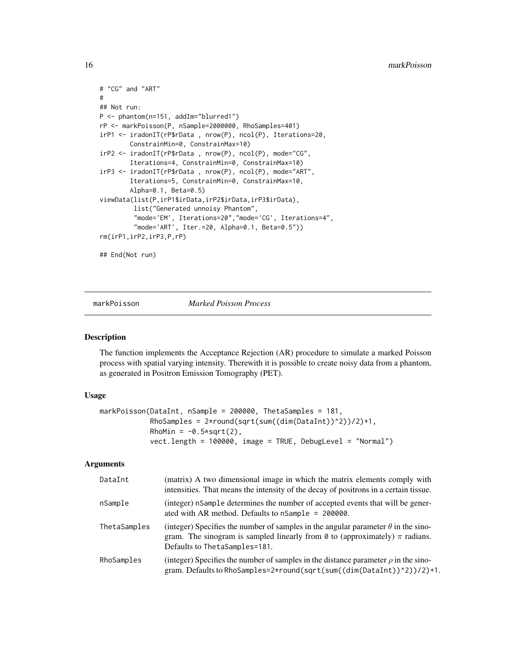```
# "CG" and "ART"
#
## Not run:
P <- phantom(n=151, addIm="blurred1")
rP <- markPoisson(P, nSample=2000000, RhoSamples=401)
irP1 <- iradonIT(rP$rData , nrow(P), ncol(P), Iterations=20,
        ConstrainMin=0, ConstrainMax=10)
irP2 <- iradonIT(rP$rData , nrow(P), ncol(P), mode="CG",
        Iterations=4, ConstrainMin=0, ConstrainMax=10)
irP3 <- iradonIT(rP$rData , nrow(P), ncol(P), mode="ART",
        Iterations=5, ConstrainMin=0, ConstrainMax=10,
        Alpha=0.1, Beta=0.5)
viewData(list(P,irP1$irData,irP2$irData,irP3$irData),
         list("Generated unnoisy Phantom",
         "mode='EM', Iterations=20","mode='CG', Iterations=4",
         "mode='ART', Iter.=20, Alpha=0.1, Beta=0.5"))
rm(irP1,irP2,irP3,P,rP)
## End(Not run)
```
<span id="page-15-1"></span>

markPoisson *Marked Poisson Process*

#### Description

The function implements the Acceptance Rejection (AR) procedure to simulate a marked Poisson process with spatial varying intensity. Therewith it is possible to create noisy data from a phantom, as generated in Positron Emission Tomography (PET).

#### Usage

```
markPoisson(DataInt, nSample = 200000, ThetaSamples = 181,
            RhoSamples = 2*round(sqrt(sum((dim(DataInt))^2))/2)+1,
            RhoMin = -0.5*sqrt(2),
            vect.length = 100000, image = TRUE, DebugLevel = "Normal")
```
#### Arguments

| DataInt      | (matrix) A two dimensional image in which the matrix elements comply with<br>intensities. That means the intensity of the decay of positrons in a certain tissue.                                            |
|--------------|--------------------------------------------------------------------------------------------------------------------------------------------------------------------------------------------------------------|
| nSample      | (integer) nSample determines the number of accepted events that will be gener-<br>ated with AR method. Defaults to $nSample = 200000$ .                                                                      |
| ThetaSamples | (integer) Specifies the number of samples in the angular parameter $\theta$ in the sino-<br>gram. The sinogram is sampled linearly from 0 to (approximately) $\pi$ radians.<br>Defaults to ThetaSamples=181. |
| RhoSamples   | (integer) Specifies the number of samples in the distance parameter $\rho$ in the sino-<br>gram. Defaults to RhoSamples=2*round(sqrt(sum((dim(DataInt))^2))/2)+1.                                            |

<span id="page-15-0"></span>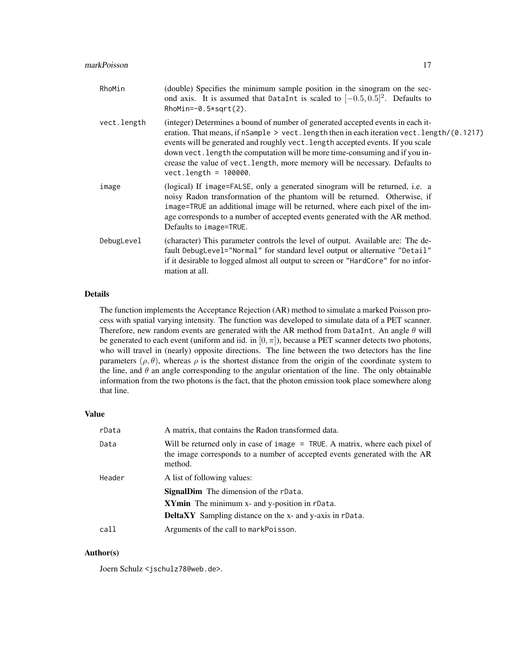| RhoMin      | (double) Specifies the minimum sample position in the sinogram on the sec-<br>ond axis. It is assumed that DataInt is scaled to $[-0.5, 0.5]^2$ . Defaults to<br>$RhOMin=-0.5*sqrt(2)$ .                                                                                                                                                                                                                                                                                |
|-------------|-------------------------------------------------------------------------------------------------------------------------------------------------------------------------------------------------------------------------------------------------------------------------------------------------------------------------------------------------------------------------------------------------------------------------------------------------------------------------|
| vect.length | (integer) Determines a bound of number of generated accepted events in each it-<br>eration. That means, if $n$ Sample $\ge$ vect. length then in each iteration vect. length/ $(0.1217)$<br>events will be generated and roughly vect. length accepted events. If you scale<br>down vect. length the computation will be more time-consuming and if you in-<br>crease the value of vect. Length, more memory will be necessary. Defaults to<br>$vect.length = 100000$ . |
| image       | (logical) If image=FALSE, only a generated sinogram will be returned, i.e. a<br>noisy Radon transformation of the phantom will be returned. Otherwise, if<br>image=TRUE an additional image will be returned, where each pixel of the im-<br>age corresponds to a number of accepted events generated with the AR method.<br>Defaults to image=TRUE.                                                                                                                    |
| DebugLevel  | (character) This parameter controls the level of output. Available are: The de-<br>fault DebugLevel="Normal" for standard level output or alternative "Detail"<br>if it desirable to logged almost all output to screen or "HardCore" for no infor-<br>mation at all.                                                                                                                                                                                                   |

# Details

The function implements the Acceptance Rejection (AR) method to simulate a marked Poisson process with spatial varying intensity. The function was developed to simulate data of a PET scanner. Therefore, new random events are generated with the AR method from DataInt. An angle  $\theta$  will be generated to each event (uniform and iid. in  $[0, \pi]$ ), because a PET scanner detects two photons, who will travel in (nearly) opposite directions. The line between the two detectors has the line parameters  $(\rho, \theta)$ , whereas  $\rho$  is the shortest distance from the origin of the coordinate system to the line, and  $\theta$  an angle corresponding to the angular orientation of the line. The only obtainable information from the two photons is the fact, that the photon emission took place somewhere along that line.

# Value

| rData  | A matrix, that contains the Radon transformed data.                                                                                                                   |
|--------|-----------------------------------------------------------------------------------------------------------------------------------------------------------------------|
| Data   | Will be returned only in case of image = TRUE. A matrix, where each pixel of<br>the image corresponds to a number of accepted events generated with the AR<br>method. |
| Header | A list of following values:                                                                                                                                           |
|        | <b>SignalDim</b> The dimension of the rData.                                                                                                                          |
|        | XYmin The minimum x- and y-position in rData.                                                                                                                         |
|        | <b>DeltaXY</b> Sampling distance on the x- and y-axis in rData.                                                                                                       |
| call   | Arguments of the call to markPoisson.                                                                                                                                 |

# Author(s)

Joern Schulz <jschulz78@web.de>.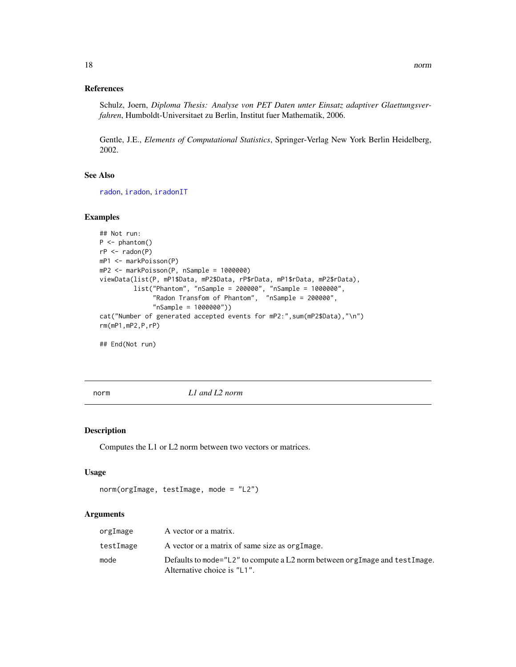# <span id="page-17-0"></span>References

Schulz, Joern, *Diploma Thesis: Analyse von PET Daten unter Einsatz adaptiver Glaettungsverfahren*, Humboldt-Universitaet zu Berlin, Institut fuer Mathematik, 2006.

Gentle, J.E., *Elements of Computational Statistics*, Springer-Verlag New York Berlin Heidelberg, 2002.

# See Also

[radon](#page-22-1), [iradon](#page-6-1), [iradonIT](#page-10-1)

#### Examples

```
## Not run:
P \leftarrow \text{phantom}()rP \leq - \text{radon}(P)mP1 <- markPoisson(P)
mP2 <- markPoisson(P, nSample = 1000000)
viewData(list(P, mP1$Data, mP2$Data, rP$rData, mP1$rData, mP2$rData),
         list("Phantom", "nSample = 200000", "nSample = 1000000",
               "Radon Transfom of Phantom", "nSample = 200000",
               "nSample = 1000000"))
cat("Number of generated accepted events for mP2:",sum(mP2$Data),"\n")
rm(mP1,mP2,P,rP)
## End(Not run)
```
norm *L1 and L2 norm*

# Description

Computes the L1 or L2 norm between two vectors or matrices.

### Usage

```
norm(orgImage, testImage, mode = "L2")
```
# Arguments

| orgImage  | A vector or a matrix.                                                                                         |
|-----------|---------------------------------------------------------------------------------------------------------------|
| testImage | A vector or a matrix of same size as orgImage.                                                                |
| mode      | Defaults to mode=" $L2$ " to compute a L2 norm between orgImage and testImage.<br>Alternative choice is "L1". |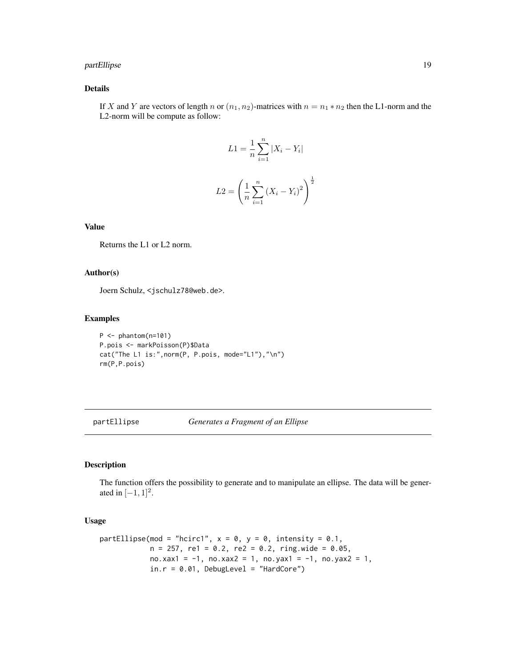# <span id="page-18-0"></span>partEllipse 19

# Details

If X and Y are vectors of length n or  $(n_1, n_2)$ -matrices with  $n = n_1 * n_2$  then the L1-norm and the L2-norm will be compute as follow:

$$
L1 = \frac{1}{n} \sum_{i=1}^{n} |X_i - Y_i|
$$

$$
L2 = \left(\frac{1}{n} \sum_{i=1}^{n} (X_i - Y_i)^2\right)^{\frac{1}{2}}
$$

### Value

Returns the L1 or L2 norm.

# Author(s)

Joern Schulz, <jschulz78@web.de>.

# Examples

 $P \leq - \text{phantom}(n=101)$ P.pois <- markPoisson(P)\$Data cat("The L1 is:",norm(P, P.pois, mode="L1"),"\n") rm(P,P.pois)

#### <span id="page-18-1"></span>partEllipse *Generates a Fragment of an Ellipse*

#### Description

The function offers the possibility to generate and to manipulate an ellipse. The data will be generated in  $[-1, 1]^2$ .

#### Usage

```
partEllipse(mod = "hcirc1", x = 0, y = 0, intensity = 0.1,
            n = 257, re1 = 0.2, re2 = 0.2, ring.wide = 0.05,
            no.xax1 = -1, no.xax2 = 1, no.yax1 = -1, no.yax2 = 1,
            in.r = 0.01, DebugLevel = "HardCore")
```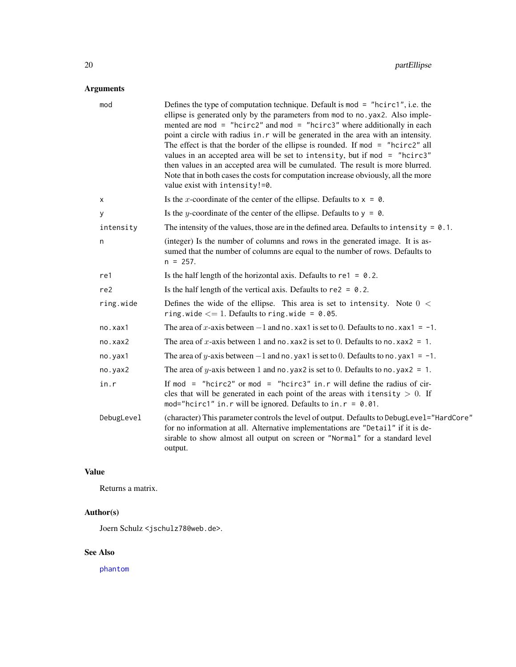# <span id="page-19-0"></span>Arguments

| mod             | Defines the type of computation technique. Default is mod = " $ncirc1$ ", i.e. the<br>ellipse is generated only by the parameters from mod to no.yax2. Also imple-<br>mented are mod = "hcirc2" and mod = "hcirc3" where additionally in each<br>point a circle with radius in. r will be generated in the area with an intensity.<br>The effect is that the border of the ellipse is rounded. If mod = "hcirc2" all<br>values in an accepted area will be set to intensity, but if mod = "hcirc3"<br>then values in an accepted area will be cumulated. The result is more blurred.<br>Note that in both cases the costs for computation increase obviously, all the more<br>value exist with intensity!=0. |
|-----------------|--------------------------------------------------------------------------------------------------------------------------------------------------------------------------------------------------------------------------------------------------------------------------------------------------------------------------------------------------------------------------------------------------------------------------------------------------------------------------------------------------------------------------------------------------------------------------------------------------------------------------------------------------------------------------------------------------------------|
| x               | Is the <i>x</i> -coordinate of the center of the ellipse. Defaults to $x = 0$ .                                                                                                                                                                                                                                                                                                                                                                                                                                                                                                                                                                                                                              |
| у               | Is the y-coordinate of the center of the ellipse. Defaults to $y = 0$ .                                                                                                                                                                                                                                                                                                                                                                                                                                                                                                                                                                                                                                      |
| intensity       | The intensity of the values, those are in the defined area. Defaults to intensity = $0.1$ .                                                                                                                                                                                                                                                                                                                                                                                                                                                                                                                                                                                                                  |
| n               | (integer) Is the number of columns and rows in the generated image. It is as-<br>sumed that the number of columns are equal to the number of rows. Defaults to<br>$n = 257.$                                                                                                                                                                                                                                                                                                                                                                                                                                                                                                                                 |
| re1             | Is the half length of the horizontal axis. Defaults to re1 = $0.2$ .                                                                                                                                                                                                                                                                                                                                                                                                                                                                                                                                                                                                                                         |
| re <sub>2</sub> | Is the half length of the vertical axis. Defaults to $re2 = 0.2$ .                                                                                                                                                                                                                                                                                                                                                                                                                                                                                                                                                                                                                                           |
| ring.wide       | Defines the wide of the ellipse. This area is set to intensity. Note $0 <$<br>ring.wide $\leq$ = 1. Defaults to ring.wide = 0.05.                                                                                                                                                                                                                                                                                                                                                                                                                                                                                                                                                                            |
| no.xax1         | The area of x-axis between $-1$ and no. xax1 is set to 0. Defaults to no. xax1 = -1.                                                                                                                                                                                                                                                                                                                                                                                                                                                                                                                                                                                                                         |
| no.xax2         | The area of x-axis between 1 and no. xax2 is set to 0. Defaults to no. xax2 = 1.                                                                                                                                                                                                                                                                                                                                                                                                                                                                                                                                                                                                                             |
| no.yax1         | The area of y-axis between $-1$ and no. yax1 is set to 0. Defaults to no. yax1 = -1.                                                                                                                                                                                                                                                                                                                                                                                                                                                                                                                                                                                                                         |
| no.yax2         | The area of y-axis between 1 and no. yax2 is set to 0. Defaults to no. yax2 = 1.                                                                                                                                                                                                                                                                                                                                                                                                                                                                                                                                                                                                                             |
| in.r            | If mod = "hcirc2" or mod = "hcirc3" in.r will define the radius of cir-<br>cles that will be generated in each point of the areas with itensity $> 0$ . If<br>mod="hcirc1" in.r will be ignored. Defaults to in.r = $0.01$ .                                                                                                                                                                                                                                                                                                                                                                                                                                                                                 |
| DebugLevel      | (character) This parameter controls the level of output. Defaults to DebugLevel="HardCore"<br>for no information at all. Alternative implementations are "Detail" if it is de-<br>sirable to show almost all output on screen or "Normal" for a standard level<br>output.                                                                                                                                                                                                                                                                                                                                                                                                                                    |
|                 |                                                                                                                                                                                                                                                                                                                                                                                                                                                                                                                                                                                                                                                                                                              |

# Value

Returns a matrix.

# Author(s)

Joern Schulz <jschulz78@web.de>.

# See Also

[phantom](#page-20-1)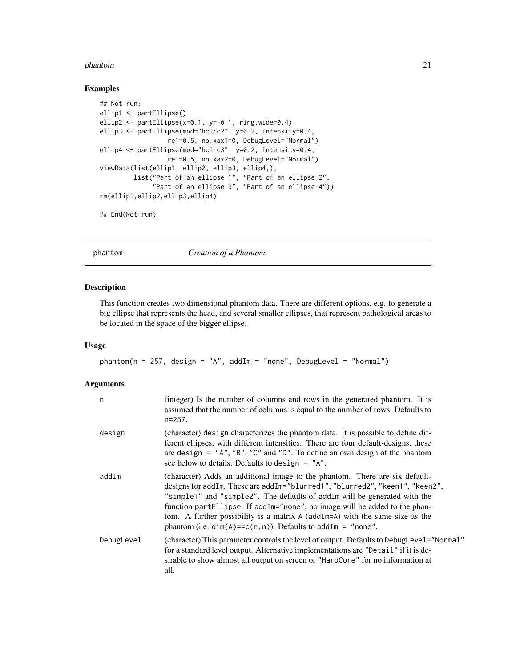#### <span id="page-20-0"></span>phantom 21

#### Examples

```
## Not run:
ellip1 <- partEllipse()
ellip2 <- partEllipse(x=0.1, y=-0.1, ring.wide=0.4)
ellip3 <- partEllipse(mod="hcirc2", y=0.2, intensity=0.4,
                  re1=0.5, no.xax1=0, DebugLevel="Normal")
ellip4 <- partEllipse(mod="hcirc3", y=0.2, intensity=0.4,
                  re1=0.5, no.xax2=0, DebugLevel="Normal")
viewData(list(ellip1, ellip2, ellip3, ellip4,),
         list("Part of an ellipse 1", "Part of an ellipse 2",
              "Part of an ellipse 3", "Part of an ellipse 4"))
rm(ellip1,ellip2,ellip3,ellip4)
```
## End(Not run)

<span id="page-20-1"></span>phantom *Creation of a Phantom*

#### Description

This function creates two dimensional phantom data. There are different options, e.g. to generate a big ellipse that represents the head, and several smaller ellipses, that represent pathological areas to be located in the space of the bigger ellipse.

# Usage

phantom(n = 257, design = "A", addIm = "none", DebugLevel = "Normal")

# Arguments

| n          | (integer) Is the number of columns and rows in the generated phantom. It is<br>assumed that the number of columns is equal to the number of rows. Defaults to<br>$n = 257.$                                                                                                                                                                                                                                                                                          |
|------------|----------------------------------------------------------------------------------------------------------------------------------------------------------------------------------------------------------------------------------------------------------------------------------------------------------------------------------------------------------------------------------------------------------------------------------------------------------------------|
| design     | (character) design characterizes the phantom data. It is possible to define dif-<br>ferent ellipses, with different intensities. There are four default-designs, these<br>are design = $^nA''$ , $^nB''$ , $^nC''$ and $^nD''$ . To define an own design of the phantom<br>see below to details. Defaults to design $=$ "A".                                                                                                                                         |
| addIm      | (character) Adds an additional image to the phantom. There are six default-<br>designs for addIm. These are addIm="blurred1", "blurred2", "keen1", "keen2",<br>"simple1" and "simple2". The defaults of addIm will be generated with the<br>function partEllipse. If addIm="none", no image will be added to the phan-<br>tom. A further possibility is a matrix A (addIm=A) with the same size as the<br>phantom (i.e. dim(A)==c(n,n)). Defaults to addIm = "none". |
| DebugLevel | (character) This parameter controls the level of output. Defaults to DebugLevel="Normal"<br>for a standard level output. Alternative implementations are "Detail" if it is de-<br>sirable to show almost all output on screen or "HardCore" for no information at<br>all.                                                                                                                                                                                            |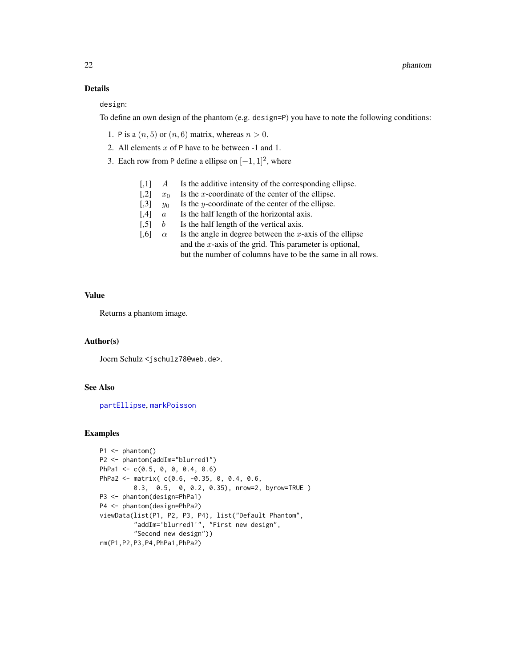# <span id="page-21-0"></span>Details

design:

To define an own design of the phantom (e.g. design=P) you have to note the following conditions:

- 1. P is a  $(n, 5)$  or  $(n, 6)$  matrix, whereas  $n > 0$ .
- 2. All elements  $x$  of P have to be between -1 and 1.
- 3. Each row from P define a ellipse on  $[-1, 1]^2$ , where
	- $[0,1]$  A Is the additive intensity of the corresponding ellipse.
	- [,2]  $x_0$  Is the x-coordinate of the center of the ellipse.
	- [,3]  $y_0$  Is the y-coordinate of the center of the ellipse.
	- $[$ ,4 $]$  a Is the half length of the horizontal axis.
	- $[5]$  b Is the half length of the vertical axis.
	- [,6]  $\alpha$  Is the angle in degree between the *x*-axis of the ellipse and the  $x$ -axis of the grid. This parameter is optional, but the number of columns have to be the same in all rows.

#### Value

Returns a phantom image.

#### Author(s)

Joern Schulz <jschulz78@web.de>.

# See Also

[partEllipse](#page-18-1), [markPoisson](#page-15-1)

#### Examples

```
P1 \leq - \text{phantom}()P2 <- phantom(addIm="blurred1")
PhPa1 <- c(0.5, 0, 0, 0.4, 0.6)PhPa2 <- matrix( c(0.6, -0.35, 0, 0.4, 0.6,
         0.3, 0.5, 0, 0.2, 0.35), nrow=2, byrow=TRUE )
P3 <- phantom(design=PhPa1)
P4 <- phantom(design=PhPa2)
viewData(list(P1, P2, P3, P4), list("Default Phantom",
         "addIm='blurred1'", "First new design",
         "Second new design"))
rm(P1,P2,P3,P4,PhPa1,PhPa2)
```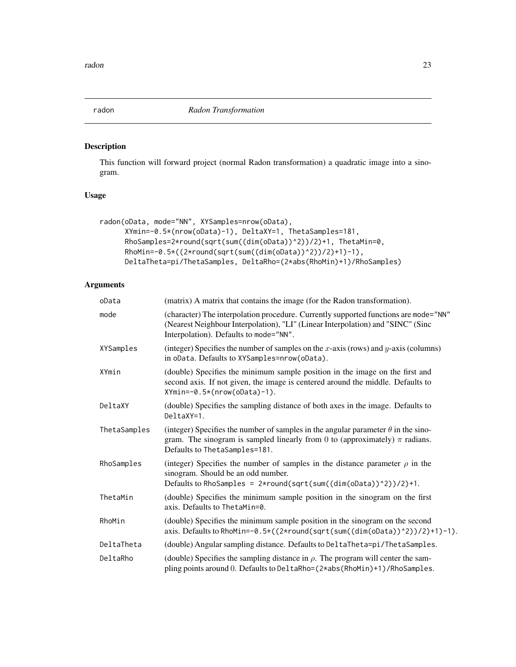<span id="page-22-1"></span><span id="page-22-0"></span>

# Description

This function will forward project (normal Radon transformation) a quadratic image into a sinogram.

# Usage

```
radon(oData, mode="NN", XYSamples=nrow(oData),
     XYmin=-0.5*(nrow(oData)-1), DeltaXY=1, ThetaSamples=181,
     RhoSamples=2*round(sqrt(sum((dim(oData))^2))/2)+1, ThetaMin=0,
     RhoMin=-0.5*((2*round(sqrt(sum((dim(oData))^2))/2)+1)-1),
     DeltaTheta=pi/ThetaSamples, DeltaRho=(2*abs(RhoMin)+1)/RhoSamples)
```
# Arguments

| oData        | (matrix) A matrix that contains the image (for the Radon transformation).                                                                                                                                         |
|--------------|-------------------------------------------------------------------------------------------------------------------------------------------------------------------------------------------------------------------|
| mode         | (character) The interpolation procedure. Currently supported functions are mode="NN"<br>(Nearest Neighbour Interpolation), "LI" (Linear Interpolation) and "SINC" (Sinc<br>Interpolation). Defaults to mode="NN". |
| XYSamples    | (integer) Specifies the number of samples on the x-axis (rows) and y-axis (columns)<br>in oData. Defaults to XYSamples=nrow(oData).                                                                               |
| XYmin        | (double) Specifies the minimum sample position in the image on the first and<br>second axis. If not given, the image is centered around the middle. Defaults to<br>$XYmin=-0.5*(nrow(obata)-1).$                  |
| DeltaXY      | (double) Specifies the sampling distance of both axes in the image. Defaults to<br>DeltaXY=1.                                                                                                                     |
| ThetaSamples | (integer) Specifies the number of samples in the angular parameter $\theta$ in the sino-<br>gram. The sinogram is sampled linearly from 0 to (approximately) $\pi$ radians.<br>Defaults to ThetaSamples=181.      |
| RhoSamples   | (integer) Specifies the number of samples in the distance parameter $\rho$ in the<br>sinogram. Should be an odd number.<br>Defaults to RhoSamples = $2*round(sqrt(sum((dim(oData))^2))^2)+1$ .                    |
| ThetaMin     | (double) Specifies the minimum sample position in the sinogram on the first<br>axis. Defaults to ThetaMin=0.                                                                                                      |
| RhoMin       | (double) Specifies the minimum sample position in the sinogram on the second<br>axis. Defaults to RhoMin=-0.5*((2*round(sqrt(sum((dim(oData))^2))/2)+1)-1).                                                       |
| DeltaTheta   | (double) Angular sampling distance. Defaults to DeltaTheta=pi/ThetaSamples.                                                                                                                                       |
| DeltaRho     | (double) Specifies the sampling distance in $\rho$ . The program will center the sam-<br>pling points around 0. Defaults to DeltaRho=(2*abs(RhoMin)+1)/RhoSamples.                                                |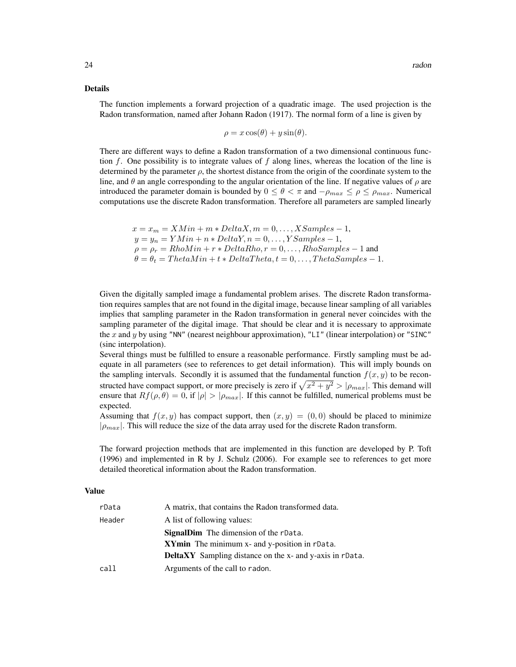#### Details

The function implements a forward projection of a quadratic image. The used projection is the Radon transformation, named after Johann Radon (1917). The normal form of a line is given by

$$
\rho = x \cos(\theta) + y \sin(\theta).
$$

There are different ways to define a Radon transformation of a two dimensional continuous function  $f$ . One possibility is to integrate values of  $f$  along lines, whereas the location of the line is determined by the parameter  $\rho$ , the shortest distance from the origin of the coordinate system to the line, and  $\theta$  an angle corresponding to the angular orientation of the line. If negative values of  $\rho$  are introduced the parameter domain is bounded by  $0 \le \theta < \pi$  and  $-\rho_{max} \le \rho \le \rho_{max}$ . Numerical computations use the discrete Radon transformation. Therefore all parameters are sampled linearly

$$
x = x_m = XMin + m * DeltaX, m = 0, ..., XSamples - 1,
$$
  
\n
$$
y = y_n = YMin + n * DeltaY, n = 0, ..., YSamples - 1,
$$
  
\n
$$
\rho = \rho_r = RhoMin + r * DeltaRho, r = 0, ..., RhoSamples - 1
$$
  
\n
$$
\theta = \theta_t = ThetaMin + t * DeltaTheta, t = 0, ..., ThetaSamples - 1.
$$

Given the digitally sampled image a fundamental problem arises. The discrete Radon transformation requires samples that are not found in the digital image, because linear sampling of all variables implies that sampling parameter in the Radon transformation in general never coincides with the sampling parameter of the digital image. That should be clear and it is necessary to approximate the x and y by using "NN" (nearest neighbour approximation), "LI" (linear interpolation) or "SINC" (sinc interpolation).

Several things must be fulfilled to ensure a reasonable performance. Firstly sampling must be adequate in all parameters (see to references to get detail information). This will imply bounds on the sampling intervals. Secondly it is assumed that the fundamental function  $f(x, y)$  to be reconstructed have compact support, or more precisely is zero if  $\sqrt{x^2 + y^2} > |\rho_{max}|$ . This demand will ensure that  $Rf(\rho, \theta) = 0$ , if  $|\rho| > |\rho_{max}|$ . If this cannot be fulfilled, numerical problems must be expected.

Assuming that  $f(x, y)$  has compact support, then  $(x, y) = (0, 0)$  should be placed to minimize  $|\rho_{max}|$ . This will reduce the size of the data array used for the discrete Radon transform.

The forward projection methods that are implemented in this function are developed by P. Toft (1996) and implemented in R by J. Schulz (2006). For example see to references to get more detailed theoretical information about the Radon transformation.

#### Value

| rData  | A matrix, that contains the Radon transformed data.             |
|--------|-----------------------------------------------------------------|
| Header | A list of following values:                                     |
|        | <b>SignalDim</b> The dimension of the rData.                    |
|        | XYmin The minimum x- and y-position in rData.                   |
|        | <b>DeltaXY</b> Sampling distance on the x- and y-axis in rData. |
| call   | Arguments of the call to radon.                                 |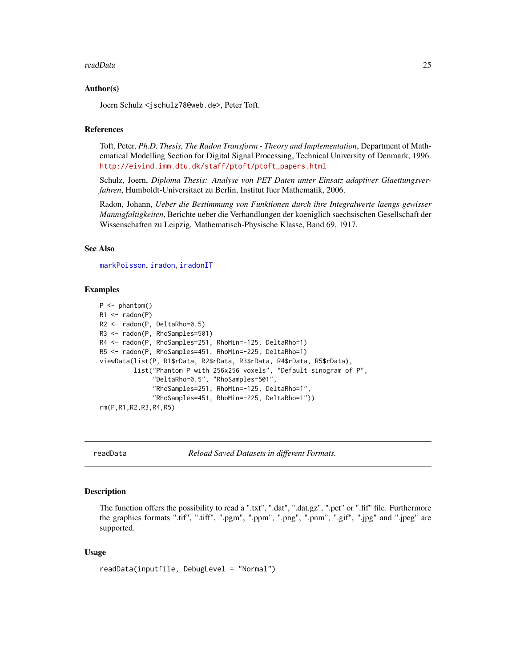#### <span id="page-24-0"></span>readData 25

#### Author(s)

Joern Schulz <jschulz78@web.de>, Peter Toft.

# References

Toft, Peter, *Ph.D. Thesis, The Radon Transform - Theory and Implementation*, Department of Mathematical Modelling Section for Digital Signal Processing, Technical University of Denmark, 1996. [http://eivind.imm.dtu.dk/staff/ptoft/ptoft\\_papers.html](http://eivind.imm.dtu.dk/staff/ptoft/ptoft_papers.html)

Schulz, Joern, *Diploma Thesis: Analyse von PET Daten unter Einsatz adaptiver Glaettungsverfahren*, Humboldt-Universitaet zu Berlin, Institut fuer Mathematik, 2006.

Radon, Johann, *Ueber die Bestimmung von Funktionen durch ihre Integralwerte laengs gewisser Mannigfaltigkeiten*, Berichte ueber die Verhandlungen der koeniglich saechsischen Gesellschaft der Wissenschaften zu Leipzig, Mathematisch-Physische Klasse, Band 69, 1917.

#### See Also

[markPoisson](#page-15-1), [iradon](#page-6-1), [iradonIT](#page-10-1)

#### Examples

```
P \leftarrow \text{phantom}()R1 \leftarrow \text{radon}(P)R2 <- radon(P, DeltaRho=0.5)
R3 <- radon(P, RhoSamples=501)
R4 <- radon(P, RhoSamples=251, RhoMin=-125, DeltaRho=1)
R5 <- radon(P, RhoSamples=451, RhoMin=-225, DeltaRho=1)
viewData(list(P, R1$rData, R2$rData, R3$rData, R4$rData, R5$rData),
         list("Phantom P with 256x256 voxels", "Default sinogram of P",
               "DeltaRho=0.5", "RhoSamples=501",
               "RhoSamples=251, RhoMin=-125, DeltaRho=1",
               "RhoSamples=451, RhoMin=-225, DeltaRho=1"))
rm(P,R1,R2,R3,R4,R5)
```
<span id="page-24-1"></span>readData *Reload Saved Datasets in different Formats.*

#### Description

The function offers the possibility to read a ".txt", ".dat", ".dat.gz", ".pet" or ".fif" file. Furthermore the graphics formats ".tif", ".tiff", ".pgm", ".ppm", ".png", ".pnm", ".gif", ".jpg" and ".jpeg" are supported.

#### Usage

```
readData(inputfile, DebugLevel = "Normal")
```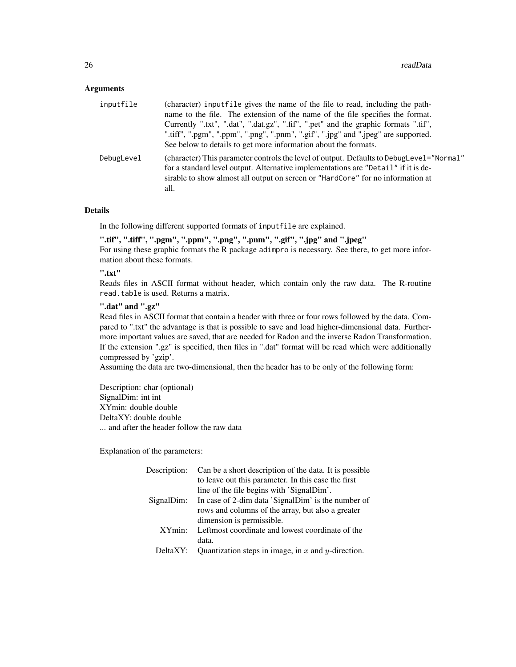#### **Arguments**

| inputfile  | (character) input file gives the name of the file to read, including the path-<br>name to the file. The extension of the name of the file specifies the format.<br>Currently ".txt", ".dat", ".dat.gz", ".fif", ".pet" and the graphic formats ".tif",<br>".tiff", ".pgm", ".ppm", ".png", ".pnm", ".gif", ".jpg" and ".jpeg" are supported.<br>See below to details to get more information about the formats. |
|------------|-----------------------------------------------------------------------------------------------------------------------------------------------------------------------------------------------------------------------------------------------------------------------------------------------------------------------------------------------------------------------------------------------------------------|
| DebugLevel | (character) This parameter controls the level of output. Defaults to DebugLevel="Normal"<br>for a standard level output. Alternative implementations are "Detail" if it is de-<br>sirable to show almost all output on screen or "HardCore" for no information at<br>all.                                                                                                                                       |

#### Details

In the following different supported formats of inputfile are explained.

```
".tif", ".tiff", ".pgm", ".ppm", ".png", ".pnm", ".gif", ".jpg" and ".jpeg"
```
For using these graphic formats the R package adimpro is necessary. See there, to get more information about these formats.

# ".txt"

Reads files in ASCII format without header, which contain only the raw data. The R-routine read.table is used. Returns a matrix.

#### ".dat" and ".gz"

Read files in ASCII format that contain a header with three or four rows followed by the data. Compared to ".txt" the advantage is that is possible to save and load higher-dimensional data. Furthermore important values are saved, that are needed for Radon and the inverse Radon Transformation. If the extension ".gz" is specified, then files in ".dat" format will be read which were additionally compressed by 'gzip'.

Assuming the data are two-dimensional, then the header has to be only of the following form:

Description: char (optional) SignalDim: int int XYmin: double double DeltaXY: double double ... and after the header follow the raw data

Explanation of the parameters:

| Can be a short description of the data. It is possible  |
|---------------------------------------------------------|
| to leave out this parameter. In this case the first     |
| line of the file begins with 'SignalDim'.               |
| In case of 2-dim data 'SignalDim' is the number of      |
| rows and columns of the array, but also a greater       |
| dimension is permissible.                               |
| Leftmost coordinate and lowest coordinate of the        |
| data.                                                   |
| Quantization steps in image, in $x$ and $y$ -direction. |
|                                                         |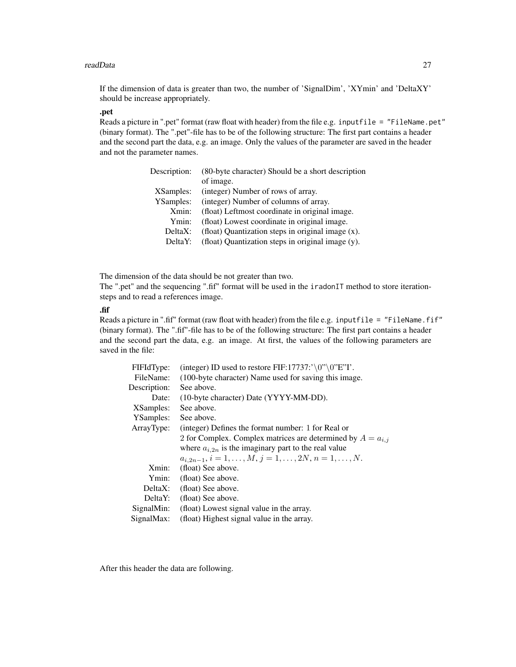#### readData 27

If the dimension of data is greater than two, the number of 'SignalDim', 'XYmin' and 'DeltaXY' should be increase appropriately.

#### .pet

Reads a picture in ".pet" format (raw float with header) from the file e.g. inputfile = "FileName.pet" (binary format). The ".pet"-file has to be of the following structure: The first part contains a header and the second part the data, e.g. an image. Only the values of the parameter are saved in the header and not the parameter names.

| Description:     | (80-byte character) Should be a short description |  |  |
|------------------|---------------------------------------------------|--|--|
|                  | of image.                                         |  |  |
| <b>XSamples:</b> | (integer) Number of rows of array.                |  |  |
| YSamples:        | (integer) Number of columns of array.             |  |  |
| Xmin:            | (float) Leftmost coordinate in original image.    |  |  |
| Ymin:            | (float) Lowest coordinate in original image.      |  |  |
| DeltaX:          | (float) Quantization steps in original image (x). |  |  |
| DeltaY:          | (float) Quantization steps in original image (y). |  |  |
|                  |                                                   |  |  |

The dimension of the data should be not greater than two.

The ".pet" and the sequencing ".fif" format will be used in the iradonIT method to store iterationsteps and to read a references image.

# .fif

Reads a picture in ".fif" format (raw float with header) from the file e.g. inputfile = "FileName.fif" (binary format). The ".fif"-file has to be of the following structure: The first part contains a header and the second part the data, e.g. an image. At first, the values of the following parameters are saved in the file:

| (integer) ID used to restore FIF:17737: $\sqrt{0}$ . $0$ . $0$ . $E$ . I'. |
|----------------------------------------------------------------------------|
| (100-byte character) Name used for saving this image.                      |
| See above.                                                                 |
| (10-byte character) Date (YYYY-MM-DD).                                     |
| See above.                                                                 |
| See above.                                                                 |
| (integer) Defines the format number: 1 for Real or                         |
| 2 for Complex. Complex matrices are determined by $A = a_{i,j}$            |
| where $a_{i,2n}$ is the imaginary part to the real value                   |
| $a_{i,2n-1}, i = 1, \ldots, M, j = 1, \ldots, 2N, n = 1, \ldots, N.$       |
| (float) See above.                                                         |
| (float) See above.                                                         |
| (float) See above.                                                         |
| (float) See above.                                                         |
| (float) Lowest signal value in the array.                                  |
| (float) Highest signal value in the array.                                 |
|                                                                            |

After this header the data are following.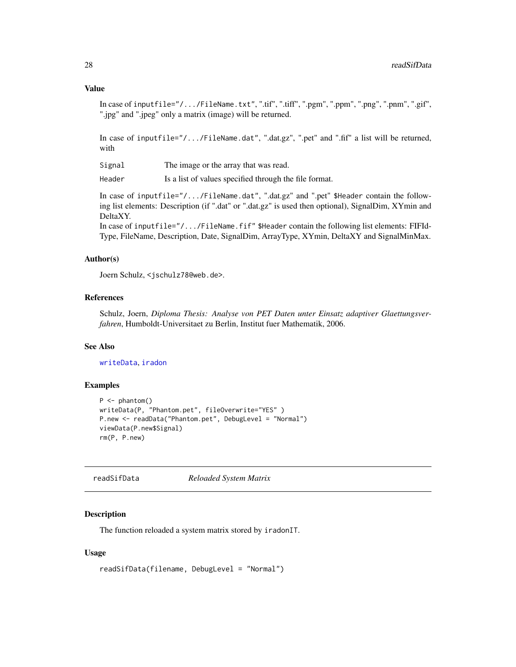#### <span id="page-27-0"></span>Value

In case of inputfile="/.../FileName.txt", ".tif", ".tiff", ".pgm", ".ppm", ".png", ".pnm", ".gif", ".jpg" and ".jpeg" only a matrix (image) will be returned.

In case of inputfile="/.../FileName.dat", ".dat.gz", ".pet" and ".fif" a list will be returned, with

| Signal | The image or the array that was read. |  |
|--------|---------------------------------------|--|
|--------|---------------------------------------|--|

Header Is a list of values specified through the file format.

In case of inputfile="/.../FileName.dat", ".dat.gz" and ".pet" \$Header contain the following list elements: Description (if ".dat" or ".dat.gz" is used then optional), SignalDim, XYmin and DeltaXY.

In case of inputfile="/.../FileName.fif" \$Header contain the following list elements: FIFId-Type, FileName, Description, Date, SignalDim, ArrayType, XYmin, DeltaXY and SignalMinMax.

#### Author(s)

Joern Schulz, <jschulz78@web.de>.

### References

Schulz, Joern, *Diploma Thesis: Analyse von PET Daten unter Einsatz adaptiver Glaettungsverfahren*, Humboldt-Universitaet zu Berlin, Institut fuer Mathematik, 2006.

#### See Also

[writeData](#page-32-1), [iradon](#page-6-1)

#### Examples

```
P \leq -\text{phantom}()writeData(P, "Phantom.pet", fileOverwrite="YES" )
P.new <- readData("Phantom.pet", DebugLevel = "Normal")
viewData(P.new$Signal)
rm(P, P.new)
```
readSifData *Reloaded System Matrix*

# **Description**

The function reloaded a system matrix stored by iradonIT.

#### Usage

```
readSifData(filename, DebugLevel = "Normal")
```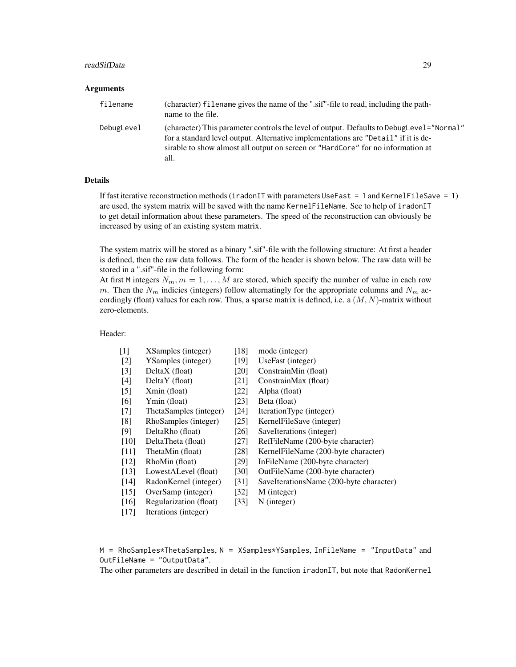#### readSifData 29

#### **Arguments**

| filename   | (character) filename gives the name of the "sif"-file to read, including the path-<br>name to the file.                                                                                                                                                                   |
|------------|---------------------------------------------------------------------------------------------------------------------------------------------------------------------------------------------------------------------------------------------------------------------------|
| DebugLevel | (character) This parameter controls the level of output. Defaults to DebugLevel="Normal"<br>for a standard level output. Alternative implementations are "Detail" if it is de-<br>sirable to show almost all output on screen or "HardCore" for no information at<br>all. |

### Details

If fast iterative reconstruction methods (iradonIT with parameters UseFast  $= 1$  and KernelFileSave  $= 1$ ) are used, the system matrix will be saved with the name KernelFileName. See to help of iradonIT to get detail information about these parameters. The speed of the reconstruction can obviously be increased by using of an existing system matrix.

The system matrix will be stored as a binary ".sif"-file with the following structure: At first a header is defined, then the raw data follows. The form of the header is shown below. The raw data will be stored in a ".sif"-file in the following form:

At first M integers  $N_m$ ,  $m = 1, \ldots, M$  are stored, which specify the number of value in each row m. Then the  $N_m$  indicies (integers) follow alternatingly for the appropriate columns and  $N_m$  accordingly (float) values for each row. Thus, a sparse matrix is defined, i.e. a  $(M, N)$ -matrix without zero-elements.

Header:

| $[1]$  | XSamples (integer)     | $[18]$             | mode (integer)                          |
|--------|------------------------|--------------------|-----------------------------------------|
| $[2]$  | YSamples (integer)     | [19]               | UseFast (integer)                       |
| $[3]$  | DeltaX (float)         | [20]               | ConstrainMin (float)                    |
| [4]    | DeltaY (float)         | [21]               | ConstrainMax (float)                    |
| $[5]$  | Xmin (float)           | $[22]$             | Alpha (float)                           |
| [6]    | Ymin (float)           | [23]               | Beta (float)                            |
| [7]    | ThetaSamples (integer) | $[24]$             | IterationType (integer)                 |
| [8]    | RhoSamples (integer)   | [25]               | Kernel FileSave (integer)               |
| [9]    | DeltaRho (float)       | [26]               | SaveIterations (integer)                |
| [10]   | DeltaTheta (float)     | [27]               | RefFileName (200-byte character)        |
| [11]   | ThetaMin (float)       | [28]               | KernelFileName (200-byte character)     |
| [12]   | RhoMin (float)         | [29]               | InFileName (200-byte character)         |
| [13]   | LowestALevel (float)   | [30]               | OutFileName (200-byte character)        |
| $[14]$ | RadonKernel (integer)  | $\lceil 31 \rceil$ | SaveIterationsName (200-byte character) |
| $[15]$ | OverSamp (integer)     | $[32]$             | M (integer)                             |
| [16]   | Regularization (float) | [33]               | N (integer)                             |

- [17] Iterations (integer)
- M = RhoSamples\*ThetaSamples, N = XSamples\*YSamples, InFileName = "InputData" and OutFileName = "OutputData".

The other parameters are described in detail in the function iradonIT, but note that RadonKernel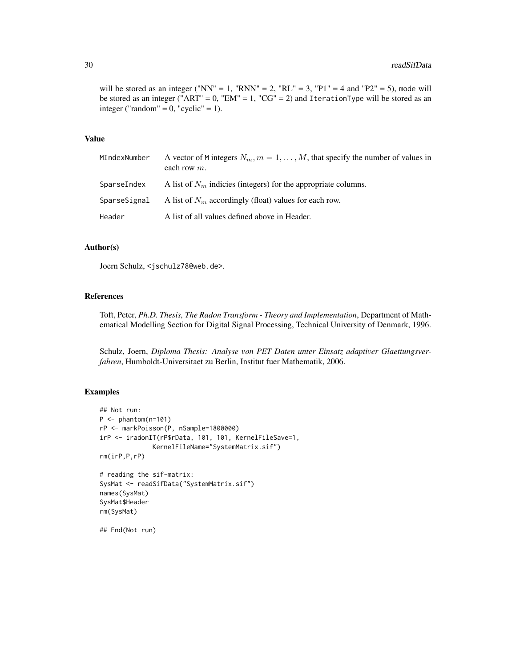#### 30 readSifData and the contract of the contract of the contract of the contract of the contract of the contract of the contract of the contract of the contract of the contract of the contract of the contract of the contrac

will be stored as an integer ("NN" = 1, "RNN" = 2, "RL" = 3, "P1" = 4 and "P2" = 5), mode will be stored as an integer ("ART" =  $0$ , "EM" =  $1$ , "CG" =  $2$ ) and IterationType will be stored as an integer ("random" =  $0$ , "cyclic" =  $1$ ).

# Value

| MIndexNumber | A vector of M integers $N_m$ , $m = 1, , M$ , that specify the number of values in<br>each row $m$ . |
|--------------|------------------------------------------------------------------------------------------------------|
| SparseIndex  | A list of $N_m$ indicies (integers) for the appropriate columns.                                     |
| SparseSignal | A list of $N_m$ accordingly (float) values for each row.                                             |
| Header       | A list of all values defined above in Header.                                                        |

# Author(s)

Joern Schulz, <jschulz78@web.de>.

# References

Toft, Peter, *Ph.D. Thesis, The Radon Transform - Theory and Implementation*, Department of Mathematical Modelling Section for Digital Signal Processing, Technical University of Denmark, 1996.

Schulz, Joern, *Diploma Thesis: Analyse von PET Daten unter Einsatz adaptiver Glaettungsverfahren*, Humboldt-Universitaet zu Berlin, Institut fuer Mathematik, 2006.

#### Examples

```
## Not run:
P \leftarrow \text{phantom}(n=101)rP <- markPoisson(P, nSample=1800000)
irP <- iradonIT(rP$rData, 101, 101, KernelFileSave=1,
              KernelFileName="SystemMatrix.sif")
rm(irP,P,rP)
# reading the sif-matrix:
SysMat <- readSifData("SystemMatrix.sif")
names(SysMat)
SysMat$Header
rm(SysMat)
## End(Not run)
```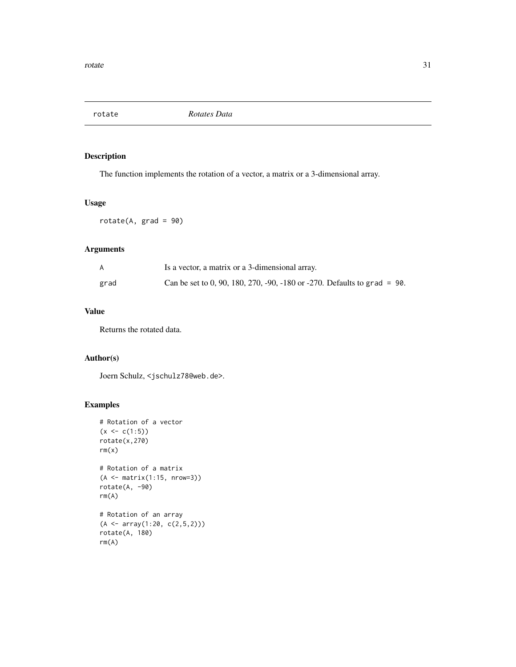<span id="page-30-0"></span>rotate *Rotates Data*

# Description

The function implements the rotation of a vector, a matrix or a 3-dimensional array.

# Usage

rotate(A, grad = 90)

# Arguments

|      | Is a vector, a matrix or a 3-dimensional array.                          |
|------|--------------------------------------------------------------------------|
| grad | Can be set to 0, 90, 180, 270, -90, -180 or -270. Defaults to grad = 90. |

# Value

Returns the rotated data.

# Author(s)

Joern Schulz, <jschulz78@web.de>.

# Examples

```
# Rotation of a vector
(x < -c(1:5))rotate(x,270)
rm(x)# Rotation of a matrix
(A <- matrix(1:15, nrow=3))
rotate(A, -90)
rm(A)
# Rotation of an array
(A \leq -\arctan(1:20, c(2,5,2)))rotate(A, 180)
rm(A)
```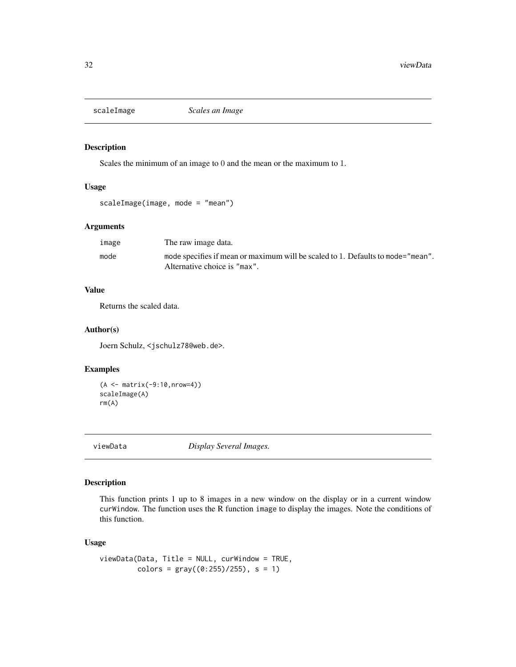<span id="page-31-0"></span>

#### Description

Scales the minimum of an image to 0 and the mean or the maximum to 1.

# Usage

```
scaleImage(image, mode = "mean")
```
# Arguments

| image | The raw image data.                                                                                             |
|-------|-----------------------------------------------------------------------------------------------------------------|
| mode  | mode specifies if mean or maximum will be scaled to 1. Defaults to mode="mean".<br>Alternative choice is "max". |

# Value

Returns the scaled data.

#### Author(s)

Joern Schulz, <jschulz78@web.de>.

#### Examples

```
(A <- matrix(-9:10,nrow=4))
scaleImage(A)
rm(A)
```
viewData *Display Several Images.*

# Description

This function prints 1 up to 8 images in a new window on the display or in a current window curWindow. The function uses the R function image to display the images. Note the conditions of this function.

#### Usage

```
viewData(Data, Title = NULL, curWindow = TRUE,
         colors = gray((0:255)/255), s = 1)
```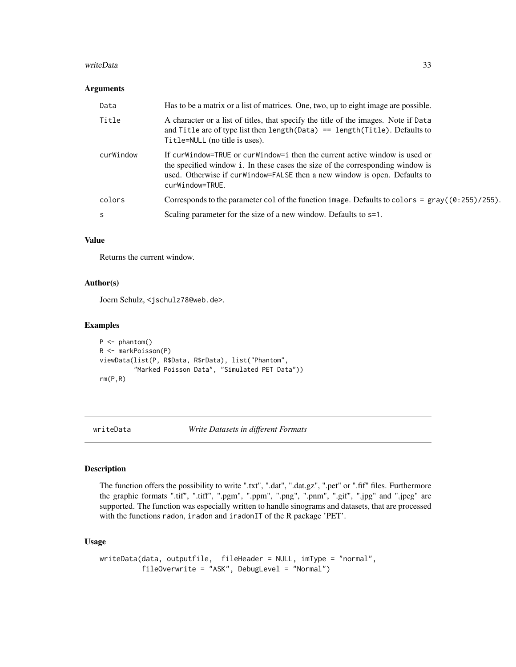#### <span id="page-32-0"></span>writeData 33

#### Arguments

| Data      | Has to be a matrix or a list of matrices. One, two, up to eight image are possible.                                                                                                                                                                          |
|-----------|--------------------------------------------------------------------------------------------------------------------------------------------------------------------------------------------------------------------------------------------------------------|
| Title     | A character or a list of titles, that specify the title of the images. Note if Data<br>and Title are of type list then length (Data) == length (Title). Defaults to<br>Title=NULL (no title is uses).                                                        |
| curWindow | If curwindow=TRUE or curwindow=i then the current active window is used or<br>the specified window i. In these cases the size of the corresponding window is<br>used. Otherwise if curWindow=FALSE then a new window is open. Defaults to<br>curWindow=TRUE. |
| colors    | Corresponds to the parameter col of the function image. Defaults to colors = $\frac{1}{2}$ ((0:255)/255).                                                                                                                                                    |
| S         | Scaling parameter for the size of a new window. Defaults to s=1.                                                                                                                                                                                             |

#### Value

Returns the current window.

# Author(s)

Joern Schulz, <jschulz78@web.de>.

# Examples

```
P \leftarrow \text{phantom}()R <- markPoisson(P)
viewData(list(P, R$Data, R$rData), list("Phantom",
          "Marked Poisson Data", "Simulated PET Data"))
rm(P,R)
```
#### <span id="page-32-1"></span>writeData *Write Datasets in different Formats*

#### Description

The function offers the possibility to write ".txt", ".dat", ".dat.gz", ".pet" or ".fif" files. Furthermore the graphic formats ".tif", ".tiff", ".pgm", ".ppm", ".png", ".pnm", ".gif", ".jpg" and ".jpeg" are supported. The function was especially written to handle sinograms and datasets, that are processed with the functions radon, iradon and iradonIT of the R package 'PET'.

# Usage

```
writeData(data, outputfile, fileHeader = NULL, imType = "normal",
          fileOverwrite = "ASK", DebugLevel = "Normal")
```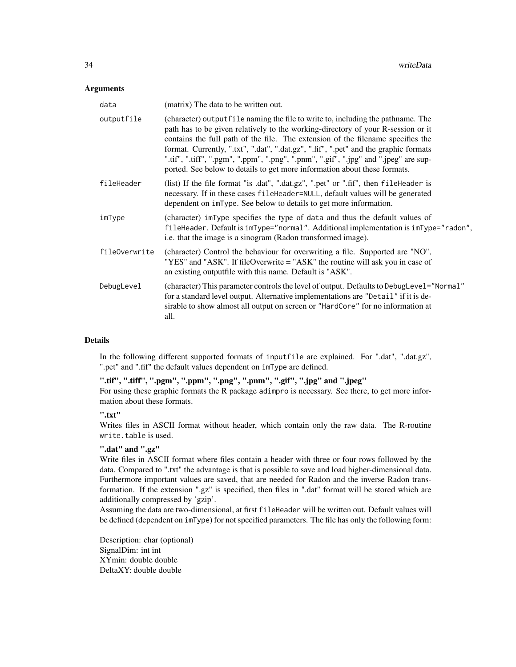#### **Arguments**

| data          | (matrix) The data to be written out.                                                                                                                                                                                                                                                                                                                                                                                                                                                                                 |
|---------------|----------------------------------------------------------------------------------------------------------------------------------------------------------------------------------------------------------------------------------------------------------------------------------------------------------------------------------------------------------------------------------------------------------------------------------------------------------------------------------------------------------------------|
| outputfile    | (character) output file naming the file to write to, including the pathname. The<br>path has to be given relatively to the working-directory of your R-session or it<br>contains the full path of the file. The extension of the filename specifies the<br>format. Currently, ".txt", ".dat", ".dat.gz", ".fif", ".pet" and the graphic formats<br>".tif", ".tiff", ".pgm", ".ppm", ".png", ".pnm", ".gif", ".jpg" and ".jpeg" are sup-<br>ported. See below to details to get more information about these formats. |
| fileHeader    | (list) If the file format "is .dat", ".dat.gz", ".pet" or ".fif", then fileHeader is<br>necessary. If in these cases file Header=NULL, default values will be generated<br>dependent on imType. See below to details to get more information.                                                                                                                                                                                                                                                                        |
| imType        | (character) imType specifies the type of data and thus the default values of<br>fileHeader. Default is imType="normal". Additional implementation is imType="radon",<br>i.e. that the image is a sinogram (Radon transformed image).                                                                                                                                                                                                                                                                                 |
| fileOverwrite | (character) Control the behaviour for overwriting a file. Supported are "NO",<br>"YES" and "ASK". If fileOverwrite = "ASK" the routine will ask you in case of<br>an existing outputfile with this name. Default is "ASK".                                                                                                                                                                                                                                                                                           |
| DebugLevel    | (character) This parameter controls the level of output. Defaults to DebugLevel="Normal"<br>for a standard level output. Alternative implementations are "Detail" if it is de-<br>sirable to show almost all output on screen or "HardCore" for no information at<br>all.                                                                                                                                                                                                                                            |

#### Details

In the following different supported formats of inputfile are explained. For ".dat", ".dat.gz", ".pet" and ".fif" the default values dependent on imType are defined.

# ".tif", ".tiff", ".pgm", ".ppm", ".png", ".pnm", ".gif", ".jpg" and ".jpeg"

For using these graphic formats the R package adimpro is necessary. See there, to get more information about these formats.

# ".txt"

Writes files in ASCII format without header, which contain only the raw data. The R-routine write.table is used.

# ".dat" and ".gz"

Write files in ASCII format where files contain a header with three or four rows followed by the data. Compared to ".txt" the advantage is that is possible to save and load higher-dimensional data. Furthermore important values are saved, that are needed for Radon and the inverse Radon transformation. If the extension ".gz" is specified, then files in ".dat" format will be stored which are additionally compressed by 'gzip'.

Assuming the data are two-dimensional, at first fileHeader will be written out. Default values will be defined (dependent on imType) for not specified parameters. The file has only the following form:

Description: char (optional) SignalDim: int int XYmin: double double DeltaXY: double double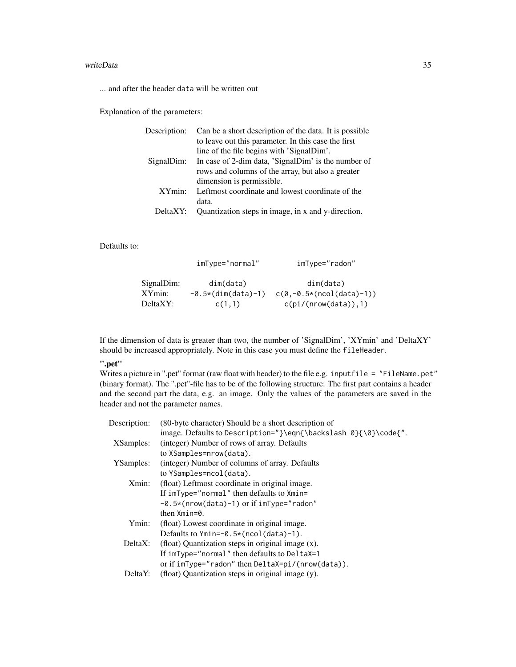#### writeData 35

... and after the header data will be written out

Explanation of the parameters:

| Description: | Can be a short description of the data. It is possible |
|--------------|--------------------------------------------------------|
|              | to leave out this parameter. In this case the first    |
|              | line of the file begins with 'SignalDim'.              |
| SignalDim:   | In case of 2-dim data, 'SignalDim' is the number of    |
|              | rows and columns of the array, but also a greater      |
|              | dimension is permissible.                              |
| XYmin:       | Leftmost coordinate and lowest coordinate of the       |
|              | data.                                                  |
| DeltaXY:     | Quantization steps in image, in x and y-direction.     |
|              |                                                        |

Defaults to:

|            | $imType="normal"$    | imType="radon"             |
|------------|----------------------|----------------------------|
| SignalDim: | dim(data)            | dim(data)                  |
| XYmin:     | $-0.5*(dim(data)-1)$ | $c(0,-0.5*(ncol(data)-1))$ |
| DeltaXY:   | c(1,1)               | c(pi/(nrow(data)), 1)      |

If the dimension of data is greater than two, the number of 'SignalDim', 'XYmin' and 'DeltaXY' should be increased appropriately. Note in this case you must define the fileHeader.

".pet"

Writes a picture in ".pet" format (raw float with header) to the file e.g. inputfile = "FileName.pet" (binary format). The ".pet"-file has to be of the following structure: The first part contains a header and the second part the data, e.g. an image. Only the values of the parameters are saved in the header and not the parameter names.

| Description: | (80-byte character) Should be a short description of            |
|--------------|-----------------------------------------------------------------|
|              | image. Defaults to Description="}\eqn{\backslash 0}{\0}\code{". |
| XSamples:    | (integer) Number of rows of array. Defaults                     |
|              | to XSamples=nrow(data).                                         |
| YSamples:    | (integer) Number of columns of array. Defaults                  |
|              | to YSamples=ncol(data).                                         |
| Xmin:        | (float) Leftmost coordinate in original image.                  |
|              | If $imType="normal"$ then defaults to $Xmin=$                   |
|              | $-0.5*(nrow(data)-1)$ or if imType="radon"                      |
|              | then $Xmin=0$ .                                                 |
| Ymin:        | (float) Lowest coordinate in original image.                    |
|              | Defaults to $Ymin=-0.5*(ncol(data)-1)$ .                        |
| DeltaX:      | (float) Quantization steps in original image $(x)$ .            |
|              | If $imType="normal"$ then defaults to Delta $X=1$               |
|              | or if imType="radon" then DeltaX=pi/(nrow(data)).               |
| DeltaY:      | (float) Quantization steps in original image (y).               |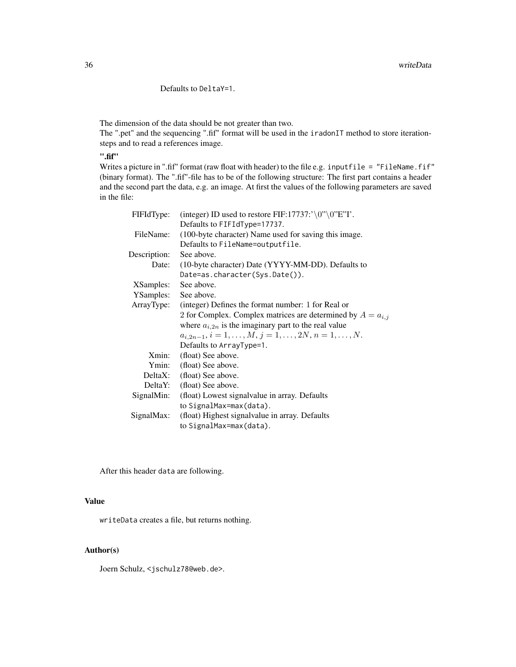Defaults to DeltaY=1.

The dimension of the data should be not greater than two.

The ".pet" and the sequencing ".fif" format will be used in the iradonIT method to store iterationsteps and to read a references image.

".fif"

Writes a picture in ".fif" format (raw float with header) to the file e.g. inputfile = "FileName.fif" (binary format). The ".fif"-file has to be of the following structure: The first part contains a header and the second part the data, e.g. an image. At first the values of the following parameters are saved in the file:

| FIFIdType:           | (integer) ID used to restore FIF:17737:'\0"\0"E"I'.                  |
|----------------------|----------------------------------------------------------------------|
|                      | Defaults to FIFIdType=17737.                                         |
| FileName:            | (100-byte character) Name used for saving this image.                |
|                      | Defaults to FileName=outputfile.                                     |
| Description:         | See above.                                                           |
| Date:                | (10-byte character) Date (YYYY-MM-DD). Defaults to                   |
|                      | Date=as.character(Sys.Date()).                                       |
| XSamples:            | See above.                                                           |
| YSamples: See above. |                                                                      |
| ArrayType:           | (integer) Defines the format number: 1 for Real or                   |
|                      | 2 for Complex. Complex matrices are determined by $A = a_{i,j}$      |
|                      | where $a_{i,2n}$ is the imaginary part to the real value             |
|                      | $a_{i,2n-1}, i = 1, \ldots, M, j = 1, \ldots, 2N, n = 1, \ldots, N.$ |
|                      | Defaults to ArrayType=1.                                             |
| Xmin:                | (float) See above.                                                   |
| Ymin:                | (float) See above.                                                   |
| DeltaX:              | (float) See above.                                                   |
| DeltaY:              | (float) See above.                                                   |
| SignalMin:           | (float) Lowest signalvalue in array. Defaults                        |
|                      | to SignalMax=max(data).                                              |
| SignalMax:           | (float) Highest signalvalue in array. Defaults                       |
|                      | to SignalMax=max(data).                                              |

After this header data are following.

# Value

writeData creates a file, but returns nothing.

# Author(s)

Joern Schulz, <jschulz78@web.de>.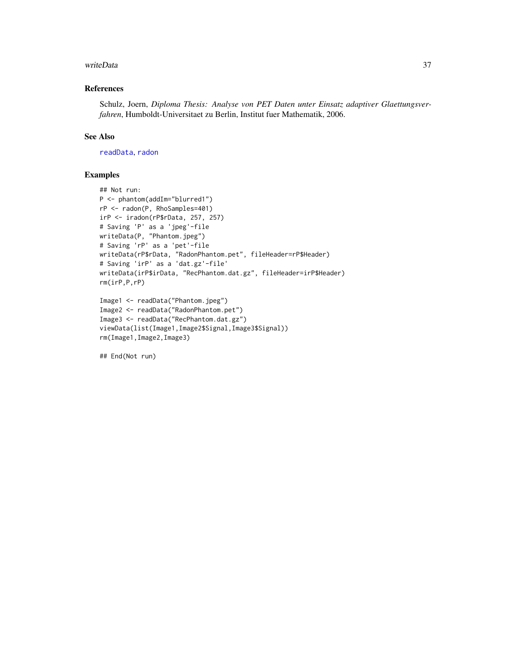#### <span id="page-36-0"></span>writeData 37

# References

Schulz, Joern, *Diploma Thesis: Analyse von PET Daten unter Einsatz adaptiver Glaettungsverfahren*, Humboldt-Universitaet zu Berlin, Institut fuer Mathematik, 2006.

# See Also

[readData](#page-24-1), [radon](#page-22-1)

#### Examples

```
## Not run:
P <- phantom(addIm="blurred1")
rP <- radon(P, RhoSamples=401)
irP <- iradon(rP$rData, 257, 257)
# Saving 'P' as a 'jpeg'-file
writeData(P, "Phantom.jpeg")
# Saving 'rP' as a 'pet'-file
writeData(rP$rData, "RadonPhantom.pet", fileHeader=rP$Header)
# Saving 'irP' as a 'dat.gz'-file'
writeData(irP$irData, "RecPhantom.dat.gz", fileHeader=irP$Header)
rm(irP,P,rP)
Image1 <- readData("Phantom.jpeg")
Image2 <- readData("RadonPhantom.pet")
Image3 <- readData("RecPhantom.dat.gz")
viewData(list(Image1,Image2$Signal,Image3$Signal))
```
rm(Image1,Image2,Image3)

## End(Not run)